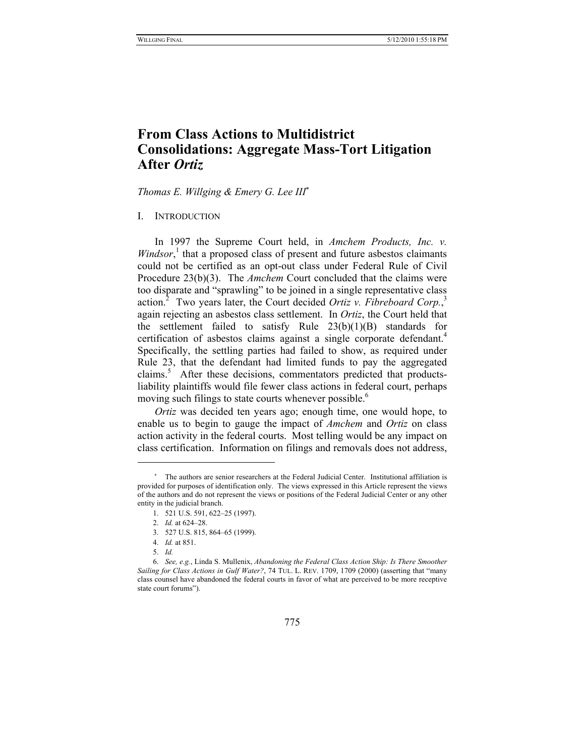# **From Class Actions to Multidistrict Consolidations: Aggregate Mass-Tort Litigation After** *Ortiz*

*Thomas E. Willging & Emery G. Lee III*<sup>∗</sup>

#### I. INTRODUCTION

In 1997 the Supreme Court held, in *Amchem Products, Inc. v.*  Windsor,<sup>1</sup> that a proposed class of present and future asbestos claimants could not be certified as an opt-out class under Federal Rule of Civil Procedure 23(b)(3). The *Amchem* Court concluded that the claims were too disparate and "sprawling" to be joined in a single representative class action.<sup>2</sup> Two years later, the Court decided *Ortiz v. Fibreboard Corp.*,<sup>3</sup> again rejecting an asbestos class settlement. In *Ortiz*, the Court held that the settlement failed to satisfy Rule 23(b)(1)(B) standards for certification of asbestos claims against a single corporate defendant.<sup>4</sup> Specifically, the settling parties had failed to show, as required under Rule 23, that the defendant had limited funds to pay the aggregated claims.<sup>5</sup> After these decisions, commentators predicted that productsliability plaintiffs would file fewer class actions in federal court, perhaps moving such filings to state courts whenever possible.<sup>6</sup>

*Ortiz* was decided ten years ago; enough time, one would hope, to enable us to begin to gauge the impact of *Amchem* and *Ortiz* on class action activity in the federal courts. Most telling would be any impact on class certification. Information on filings and removals does not address,

<sup>∗</sup> The authors are senior researchers at the Federal Judicial Center. Institutional affiliation is provided for purposes of identification only. The views expressed in this Article represent the views of the authors and do not represent the views or positions of the Federal Judicial Center or any other entity in the judicial branch.

 <sup>1. 521</sup> U.S. 591, 622–25 (1997).

<sup>2.</sup> *Id.* at 624–28.

 <sup>3. 527</sup> U.S. 815, 864–65 (1999).

<sup>4.</sup> *Id.* at 851.

<sup>5.</sup> *Id.*

<sup>6.</sup> *See, e.g.*, Linda S. Mullenix, *Abandoning the Federal Class Action Ship: Is There Smoother Sailing for Class Actions in Gulf Water?*, 74 TUL. L. REV. 1709, 1709 (2000) (asserting that "many class counsel have abandoned the federal courts in favor of what are perceived to be more receptive state court forums").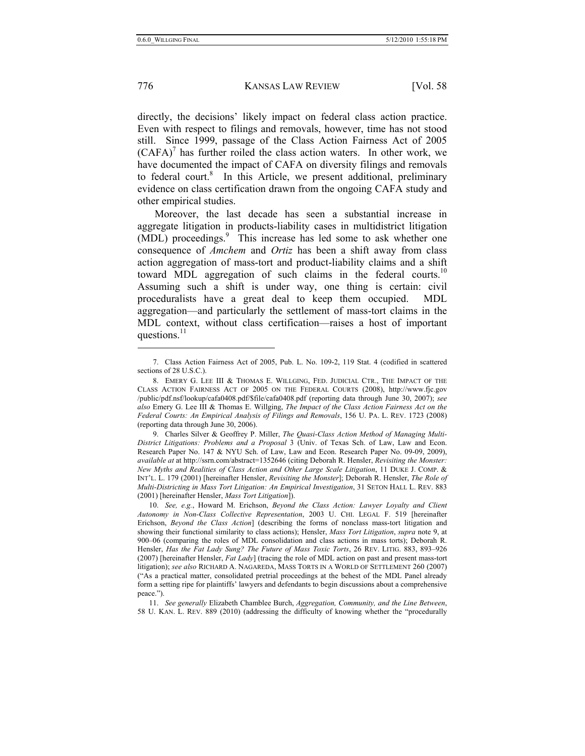directly, the decisions' likely impact on federal class action practice. Even with respect to filings and removals, however, time has not stood still. Since 1999, passage of the Class Action Fairness Act of 2005  $(CAFA)^7$  has further roiled the class action waters. In other work, we have documented the impact of CAFA on diversity filings and removals to federal court.<sup>8</sup> In this Article, we present additional, preliminary evidence on class certification drawn from the ongoing CAFA study and other empirical studies.

Moreover, the last decade has seen a substantial increase in aggregate litigation in products-liability cases in multidistrict litigation (MDL) proceedings.<sup>9</sup> This increase has led some to ask whether one consequence of *Amchem* and *Ortiz* has been a shift away from class action aggregation of mass-tort and product-liability claims and a shift toward MDL aggregation of such claims in the federal courts.<sup>10</sup> Assuming such a shift is under way, one thing is certain: civil proceduralists have a great deal to keep them occupied. MDL aggregation—and particularly the settlement of mass-tort claims in the MDL context, without class certification—raises a host of important questions. $^{11}$ 

 <sup>7.</sup> Class Action Fairness Act of 2005, Pub. L. No. 109-2, 119 Stat. 4 (codified in scattered sections of 28 U.S.C.).

 <sup>8.</sup> EMERY G. LEE III & THOMAS E. WILLGING, FED. JUDICIAL CTR., THE IMPACT OF THE CLASS ACTION FAIRNESS ACT OF 2005 ON THE FEDERAL COURTS (2008), http://www.fjc.gov /public/pdf.nsf/lookup/cafa0408.pdf/\$file/cafa0408.pdf (reporting data through June 30, 2007); *see also* Emery G. Lee III & Thomas E. Willging, *The Impact of the Class Action Fairness Act on the Federal Courts: An Empirical Analysis of Filings and Removals*, 156 U. PA. L. REV. 1723 (2008) (reporting data through June 30, 2006).

 <sup>9.</sup> Charles Silver & Geoffrey P. Miller, *The Quasi-Class Action Method of Managing Multi-District Litigations: Problems and a Proposal* 3 (Univ. of Texas Sch. of Law, Law and Econ. Research Paper No. 147 & NYU Sch. of Law, Law and Econ. Research Paper No. 09-09, 2009), *available at* at http://ssrn.com/abstract=1352646 (citing Deborah R. Hensler, *Revisiting the Monster: New Myths and Realities of Class Action and Other Large Scale Litigation*, 11 DUKE J. COMP. & INT'L. L. 179 (2001) [hereinafter Hensler, *Revisiting the Monster*]; Deborah R. Hensler, *The Role of Multi-Districting in Mass Tort Litigation: An Empirical Investigation*, 31 SETON HALL L. REV. 883 (2001) [hereinafter Hensler, *Mass Tort Litigation*]).

<sup>10.</sup> *See, e.g.*, Howard M. Erichson, *Beyond the Class Action: Lawyer Loyalty and Client Autonomy in Non-Class Collective Representation*, 2003 U. CHI. LEGAL F. 519 [hereinafter Erichson, *Beyond the Class Action*] (describing the forms of nonclass mass-tort litigation and showing their functional similarity to class actions); Hensler, *Mass Tort Litigation*, *supra* note 9, at 900–06 (comparing the roles of MDL consolidation and class actions in mass torts); Deborah R. Hensler, *Has the Fat Lady Sung? The Future of Mass Toxic Torts*, 26 REV. LITIG. 883, 893–926 (2007) [hereinafter Hensler, *Fat Lady*] (tracing the role of MDL action on past and present mass-tort litigation); *see also* RICHARD A. NAGAREDA, MASS TORTS IN A WORLD OF SETTLEMENT 260 (2007) ("As a practical matter, consolidated pretrial proceedings at the behest of the MDL Panel already form a setting ripe for plaintiffs' lawyers and defendants to begin discussions about a comprehensive peace.").

<sup>11.</sup> *See generally* Elizabeth Chamblee Burch, *Aggregation, Community, and the Line Between*, 58 U. KAN. L. REV. 889 (2010) (addressing the difficulty of knowing whether the "procedurally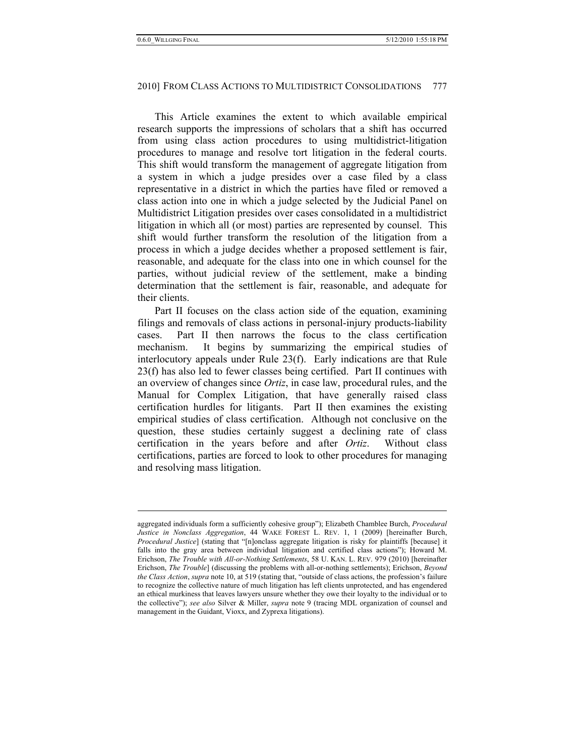1

## 2010] FROM CLASS ACTIONS TO MULTIDISTRICT CONSOLIDATIONS 777

This Article examines the extent to which available empirical research supports the impressions of scholars that a shift has occurred from using class action procedures to using multidistrict-litigation procedures to manage and resolve tort litigation in the federal courts. This shift would transform the management of aggregate litigation from a system in which a judge presides over a case filed by a class representative in a district in which the parties have filed or removed a class action into one in which a judge selected by the Judicial Panel on Multidistrict Litigation presides over cases consolidated in a multidistrict litigation in which all (or most) parties are represented by counsel. This shift would further transform the resolution of the litigation from a process in which a judge decides whether a proposed settlement is fair, reasonable, and adequate for the class into one in which counsel for the parties, without judicial review of the settlement, make a binding determination that the settlement is fair, reasonable, and adequate for their clients.

Part II focuses on the class action side of the equation, examining filings and removals of class actions in personal-injury products-liability cases. Part II then narrows the focus to the class certification mechanism. It begins by summarizing the empirical studies of interlocutory appeals under Rule 23(f). Early indications are that Rule 23(f) has also led to fewer classes being certified. Part II continues with an overview of changes since *Ortiz*, in case law, procedural rules, and the Manual for Complex Litigation, that have generally raised class certification hurdles for litigants. Part II then examines the existing empirical studies of class certification. Although not conclusive on the question, these studies certainly suggest a declining rate of class certification in the years before and after *Ortiz*. Without class certifications, parties are forced to look to other procedures for managing and resolving mass litigation.

aggregated individuals form a sufficiently cohesive group"); Elizabeth Chamblee Burch, *Procedural Justice in Nonclass Aggregation*, 44 WAKE FOREST L. REV. 1, 1 (2009) [hereinafter Burch, *Procedural Justice*] (stating that "[n]onclass aggregate litigation is risky for plaintiffs [because] it falls into the gray area between individual litigation and certified class actions"); Howard M. Erichson, *The Trouble with All-or-Nothing Settlements*, 58 U. KAN. L. REV. 979 (2010) [hereinafter Erichson, *The Trouble*] (discussing the problems with all-or-nothing settlements); Erichson, *Beyond the Class Action*, *supra* note 10, at 519 (stating that, "outside of class actions, the profession's failure to recognize the collective nature of much litigation has left clients unprotected, and has engendered an ethical murkiness that leaves lawyers unsure whether they owe their loyalty to the individual or to the collective"); *see also* Silver & Miller, *supra* note 9 (tracing MDL organization of counsel and management in the Guidant, Vioxx, and Zyprexa litigations).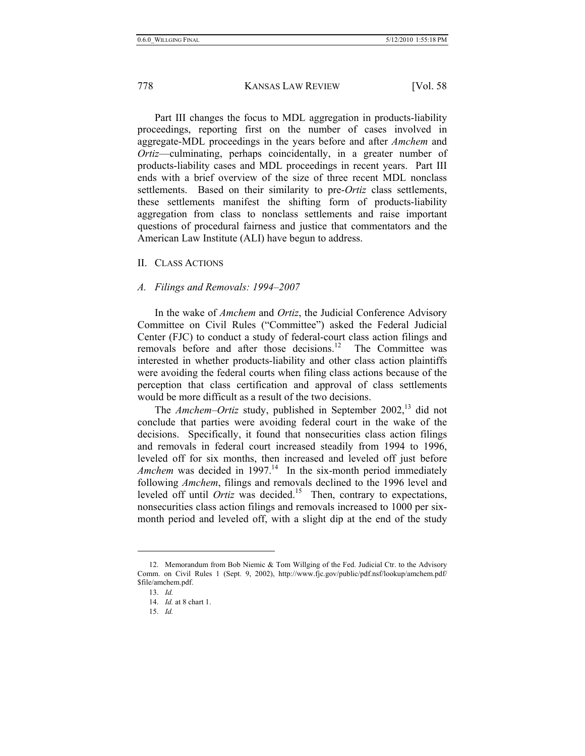Part III changes the focus to MDL aggregation in products-liability proceedings, reporting first on the number of cases involved in aggregate-MDL proceedings in the years before and after *Amchem* and *Ortiz*—culminating, perhaps coincidentally, in a greater number of products-liability cases and MDL proceedings in recent years. Part III ends with a brief overview of the size of three recent MDL nonclass settlements. Based on their similarity to pre-*Ortiz* class settlements, these settlements manifest the shifting form of products-liability aggregation from class to nonclass settlements and raise important questions of procedural fairness and justice that commentators and the American Law Institute (ALI) have begun to address.

# II. CLASS ACTIONS

#### *A. Filings and Removals: 1994–2007*

In the wake of *Amchem* and *Ortiz*, the Judicial Conference Advisory Committee on Civil Rules ("Committee") asked the Federal Judicial Center (FJC) to conduct a study of federal-court class action filings and removals before and after those decisions.<sup>12</sup> The Committee was interested in whether products-liability and other class action plaintiffs were avoiding the federal courts when filing class actions because of the perception that class certification and approval of class settlements would be more difficult as a result of the two decisions.

The *Amchem–Ortiz* study, published in September 2002,<sup>13</sup> did not conclude that parties were avoiding federal court in the wake of the decisions. Specifically, it found that nonsecurities class action filings and removals in federal court increased steadily from 1994 to 1996, leveled off for six months, then increased and leveled off just before *Amchem* was decided in 1997.<sup>14</sup> In the six-month period immediately following *Amchem*, filings and removals declined to the 1996 level and leveled off until *Ortiz* was decided.<sup>15</sup> Then, contrary to expectations, nonsecurities class action filings and removals increased to 1000 per sixmonth period and leveled off, with a slight dip at the end of the study

 <sup>12.</sup> Memorandum from Bob Niemic & Tom Willging of the Fed. Judicial Ctr. to the Advisory Comm. on Civil Rules 1 (Sept. 9, 2002), http://www.fjc.gov/public/pdf.nsf/lookup/amchem.pdf/ \$file/amchem.pdf.

<sup>13.</sup> *Id.*

<sup>14.</sup> *Id.* at 8 chart 1.

<sup>15.</sup> *Id.*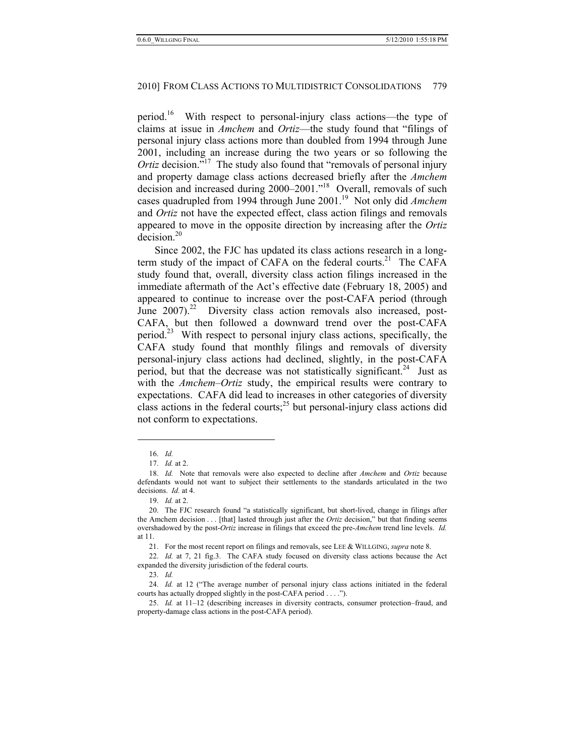period.16 With respect to personal-injury class actions—the type of claims at issue in *Amchem* and *Ortiz*—the study found that "filings of personal injury class actions more than doubled from 1994 through June 2001, including an increase during the two years or so following the *Ortiz* decision."<sup>17</sup> The study also found that "removals of personal injury and property damage class actions decreased briefly after the *Amchem*  decision and increased during 2000–2001."<sup>18</sup> Overall, removals of such cases quadrupled from 1994 through June 2001.19 Not only did *Amchem*  and *Ortiz* not have the expected effect, class action filings and removals appeared to move in the opposite direction by increasing after the *Ortiz*  decision.20

Since 2002, the FJC has updated its class actions research in a longterm study of the impact of CAFA on the federal courts.<sup>21</sup> The CAFA study found that, overall, diversity class action filings increased in the immediate aftermath of the Act's effective date (February 18, 2005) and appeared to continue to increase over the post-CAFA period (through June 2007).<sup>22</sup> Diversity class action removals also increased, post-CAFA, but then followed a downward trend over the post-CAFA period.<sup>23</sup> With respect to personal injury class actions, specifically, the CAFA study found that monthly filings and removals of diversity personal-injury class actions had declined, slightly, in the post-CAFA period, but that the decrease was not statistically significant.<sup>24</sup> Just as with the *Amchem–Ortiz* study, the empirical results were contrary to expectations. CAFA did lead to increases in other categories of diversity class actions in the federal courts;<sup>25</sup> but personal-injury class actions did not conform to expectations.

l

21. For the most recent report on filings and removals, see LEE & WILLGING, *supra* note 8.

<sup>16.</sup> *Id.*

<sup>17.</sup> *Id.* at 2.

<sup>18.</sup> *Id.* Note that removals were also expected to decline after *Amchem* and *Ortiz* because defendants would not want to subject their settlements to the standards articulated in the two decisions. *Id.* at 4.

<sup>19.</sup> *Id.* at 2.

 <sup>20.</sup> The FJC research found "a statistically significant, but short-lived, change in filings after the Amchem decision . . . [that] lasted through just after the *Ortiz* decision," but that finding seems overshadowed by the post-*Ortiz* increase in filings that exceed the pre-*Amchem* trend line levels. *Id.*  at 11.

<sup>22.</sup> *Id.* at 7, 21 fig.3. The CAFA study focused on diversity class actions because the Act expanded the diversity jurisdiction of the federal courts.

<sup>23.</sup> *Id.*

<sup>24.</sup> *Id.* at 12 ("The average number of personal injury class actions initiated in the federal courts has actually dropped slightly in the post-CAFA period . . . .").

<sup>25.</sup> *Id.* at 11–12 (describing increases in diversity contracts, consumer protection–fraud, and property-damage class actions in the post-CAFA period).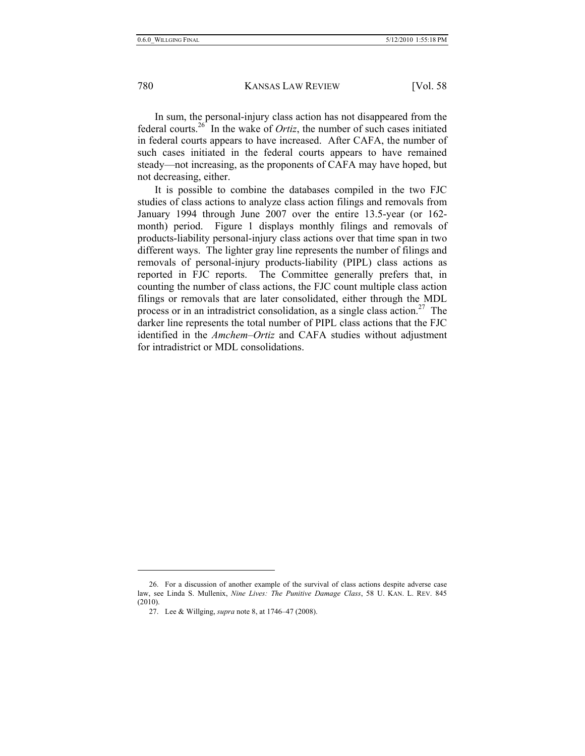In sum, the personal-injury class action has not disappeared from the federal courts.<sup>26</sup> In the wake of *Ortiz*, the number of such cases initiated in federal courts appears to have increased. After CAFA, the number of such cases initiated in the federal courts appears to have remained steady—not increasing, as the proponents of CAFA may have hoped, but not decreasing, either.

It is possible to combine the databases compiled in the two FJC studies of class actions to analyze class action filings and removals from January 1994 through June 2007 over the entire 13.5-year (or 162 month) period. Figure 1 displays monthly filings and removals of products-liability personal-injury class actions over that time span in two different ways. The lighter gray line represents the number of filings and removals of personal-injury products-liability (PIPL) class actions as reported in FJC reports. The Committee generally prefers that, in counting the number of class actions, the FJC count multiple class action filings or removals that are later consolidated, either through the MDL process or in an intradistrict consolidation, as a single class action.<sup>27</sup> The darker line represents the total number of PIPL class actions that the FJC identified in the *Amchem–Ortiz* and CAFA studies without adjustment for intradistrict or MDL consolidations.

 $\overline{\phantom{a}}$ 

 <sup>26.</sup> For a discussion of another example of the survival of class actions despite adverse case law, see Linda S. Mullenix, *Nine Lives: The Punitive Damage Class*, 58 U. KAN. L. REV. 845 (2010).

 <sup>27.</sup> Lee & Willging, *supra* note 8, at 1746–47 (2008).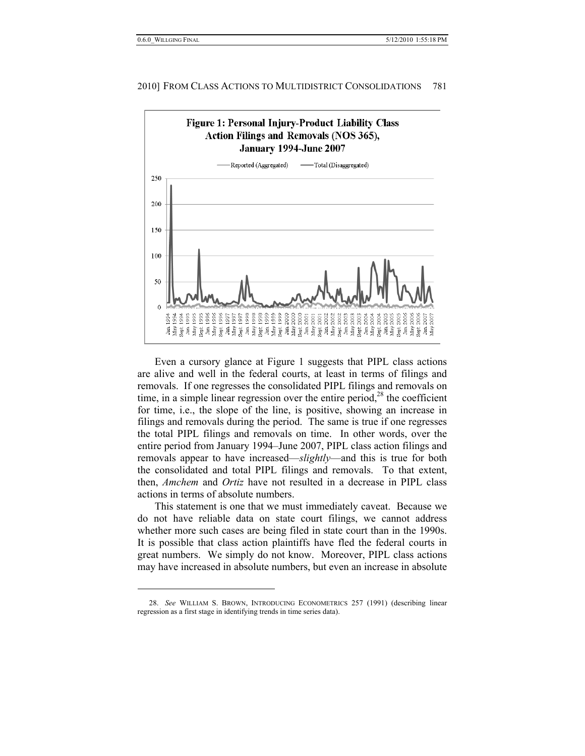l



#### 2010] FROM CLASS ACTIONS TO MULTIDISTRICT CONSOLIDATIONS 781

Even a cursory glance at Figure 1 suggests that PIPL class actions are alive and well in the federal courts, at least in terms of filings and removals. If one regresses the consolidated PIPL filings and removals on time, in a simple linear regression over the entire period, $2<sup>8</sup>$  the coefficient for time, i.e., the slope of the line, is positive, showing an increase in filings and removals during the period. The same is true if one regresses the total PIPL filings and removals on time. In other words, over the entire period from January 1994–June 2007, PIPL class action filings and removals appear to have increased—*slightly*—and this is true for both the consolidated and total PIPL filings and removals. To that extent, then, *Amchem* and *Ortiz* have not resulted in a decrease in PIPL class actions in terms of absolute numbers.

This statement is one that we must immediately caveat. Because we do not have reliable data on state court filings, we cannot address whether more such cases are being filed in state court than in the 1990s. It is possible that class action plaintiffs have fled the federal courts in great numbers. We simply do not know. Moreover, PIPL class actions may have increased in absolute numbers, but even an increase in absolute

<sup>28.</sup> *See* WILLIAM S. BROWN, INTRODUCING ECONOMETRICS 257 (1991) (describing linear regression as a first stage in identifying trends in time series data).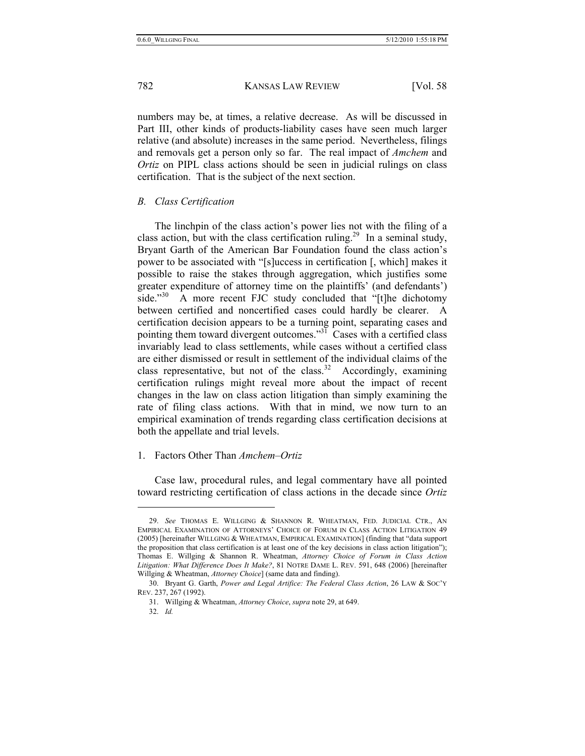numbers may be, at times, a relative decrease. As will be discussed in Part III, other kinds of products-liability cases have seen much larger relative (and absolute) increases in the same period. Nevertheless, filings and removals get a person only so far. The real impact of *Amchem* and *Ortiz* on PIPL class actions should be seen in judicial rulings on class certification. That is the subject of the next section.

#### *B. Class Certification*

The linchpin of the class action's power lies not with the filing of a class action, but with the class certification ruling.<sup>29</sup> In a seminal study, Bryant Garth of the American Bar Foundation found the class action's power to be associated with "[s]uccess in certification [, which] makes it possible to raise the stakes through aggregation, which justifies some greater expenditure of attorney time on the plaintiffs' (and defendants') side."<sup>30</sup> A more recent FJC study concluded that "Itlhe dichotomy A more recent FJC study concluded that "[t]he dichotomy between certified and noncertified cases could hardly be clearer. A certification decision appears to be a turning point, separating cases and pointing them toward divergent outcomes."<sup>31</sup> Cases with a certified class invariably lead to class settlements, while cases without a certified class are either dismissed or result in settlement of the individual claims of the class representative, but not of the class.<sup>32</sup> Accordingly, examining certification rulings might reveal more about the impact of recent changes in the law on class action litigation than simply examining the rate of filing class actions. With that in mind, we now turn to an empirical examination of trends regarding class certification decisions at both the appellate and trial levels.

# 1. Factors Other Than *Amchem–Ortiz*

Case law, procedural rules, and legal commentary have all pointed toward restricting certification of class actions in the decade since *Ortiz* 

 $\overline{a}$ 

<sup>29.</sup> *See* THOMAS E. WILLGING & SHANNON R. WHEATMAN, FED. JUDICIAL CTR., AN EMPIRICAL EXAMINATION OF ATTORNEYS' CHOICE OF FORUM IN CLASS ACTION LITIGATION 49 (2005) [hereinafter WILLGING & WHEATMAN, EMPIRICAL EXAMINATION] (finding that "data support the proposition that class certification is at least one of the key decisions in class action litigation"); Thomas E. Willging & Shannon R. Wheatman, *Attorney Choice of Forum in Class Action Litigation: What Difference Does It Make?*, 81 NOTRE DAME L. REV. 591, 648 (2006) [hereinafter Willging & Wheatman, *Attorney Choice*] (same data and finding).

 <sup>30.</sup> Bryant G. Garth, *Power and Legal Artifice: The Federal Class Action*, 26 LAW & SOC'Y REV. 237, 267 (1992).

 <sup>31.</sup> Willging & Wheatman, *Attorney Choice*, *supra* note 29, at 649.

<sup>32.</sup> *Id.*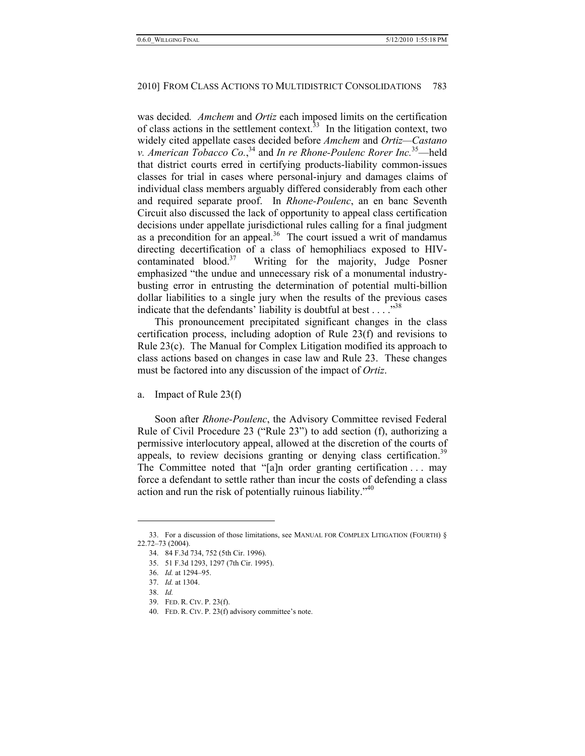was decided*. Amchem* and *Ortiz* each imposed limits on the certification of class actions in the settlement context.<sup>33</sup> In the litigation context, two widely cited appellate cases decided before *Amchem* and *Ortiz—Castano v. American Tobacco Co.*, 34 and *In re Rhone-Poulenc Rorer Inc.*35—held that district courts erred in certifying products-liability common-issues classes for trial in cases where personal-injury and damages claims of individual class members arguably differed considerably from each other and required separate proof. In *Rhone-Poulenc*, an en banc Seventh Circuit also discussed the lack of opportunity to appeal class certification decisions under appellate jurisdictional rules calling for a final judgment as a precondition for an appeal. $36$  The court issued a writ of mandamus directing decertification of a class of hemophiliacs exposed to HIVcontaminated blood. $37$  Writing for the majority, Judge Posner emphasized "the undue and unnecessary risk of a monumental industrybusting error in entrusting the determination of potential multi-billion dollar liabilities to a single jury when the results of the previous cases indicate that the defendants' liability is doubtful at best  $\dots$ ."<sup>38</sup>

This pronouncement precipitated significant changes in the class certification process, including adoption of Rule 23(f) and revisions to Rule 23(c). The Manual for Complex Litigation modified its approach to class actions based on changes in case law and Rule 23. These changes must be factored into any discussion of the impact of *Ortiz*.

a. Impact of Rule 23(f)

Soon after *Rhone-Poulenc*, the Advisory Committee revised Federal Rule of Civil Procedure 23 ("Rule 23") to add section (f), authorizing a permissive interlocutory appeal, allowed at the discretion of the courts of appeals, to review decisions granting or denying class certification.<sup>39</sup> The Committee noted that "[a]n order granting certification . . . may force a defendant to settle rather than incur the costs of defending a class action and run the risk of potentially ruinous liability.<sup>740</sup>

 <sup>33.</sup> For a discussion of those limitations, see MANUAL FOR COMPLEX LITIGATION (FOURTH) § 22.72–73 (2004).

 <sup>34. 84</sup> F.3d 734, 752 (5th Cir. 1996).

 <sup>35. 51</sup> F.3d 1293, 1297 (7th Cir. 1995).

<sup>36.</sup> *Id.* at 1294–95.

<sup>37.</sup> *Id.* at 1304.

<sup>38.</sup> *Id.*

 <sup>39.</sup> FED. R. CIV. P. 23(f).

 <sup>40.</sup> FED. R. CIV. P. 23(f) advisory committee's note.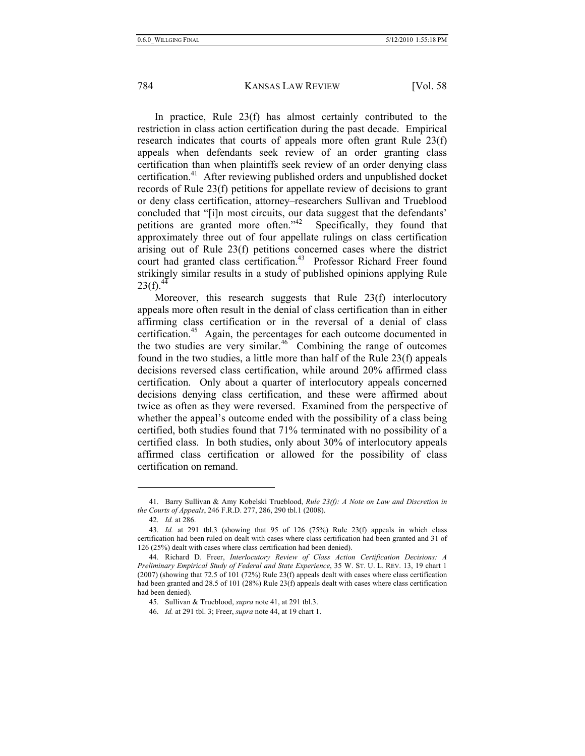In practice, Rule 23(f) has almost certainly contributed to the restriction in class action certification during the past decade. Empirical research indicates that courts of appeals more often grant Rule 23(f) appeals when defendants seek review of an order granting class certification than when plaintiffs seek review of an order denying class certification.<sup>41</sup> After reviewing published orders and unpublished docket records of Rule 23(f) petitions for appellate review of decisions to grant or deny class certification, attorney–researchers Sullivan and Trueblood concluded that "[i]n most circuits, our data suggest that the defendants' petitions are granted more often."<sup>42</sup> Specifically, they found that approximately three out of four appellate rulings on class certification arising out of Rule 23(f) petitions concerned cases where the district court had granted class certification.<sup>43</sup> Professor Richard Freer found strikingly similar results in a study of published opinions applying Rule  $23(f).^{44}$ 

Moreover, this research suggests that Rule 23(f) interlocutory appeals more often result in the denial of class certification than in either affirming class certification or in the reversal of a denial of class certification.45 Again, the percentages for each outcome documented in the two studies are very similar.<sup>46</sup> Combining the range of outcomes found in the two studies, a little more than half of the Rule 23(f) appeals decisions reversed class certification, while around 20% affirmed class certification. Only about a quarter of interlocutory appeals concerned decisions denying class certification, and these were affirmed about twice as often as they were reversed. Examined from the perspective of whether the appeal's outcome ended with the possibility of a class being certified, both studies found that 71% terminated with no possibility of a certified class. In both studies, only about 30% of interlocutory appeals affirmed class certification or allowed for the possibility of class certification on remand.

 <sup>41.</sup> Barry Sullivan & Amy Kobelski Trueblood, *Rule 23(f): A Note on Law and Discretion in the Courts of Appeals*, 246 F.R.D. 277, 286, 290 tbl.1 (2008).

<sup>42.</sup> *Id.* at 286.

<sup>43.</sup> *Id.* at 291 tbl.3 (showing that 95 of 126 (75%) Rule 23(f) appeals in which class certification had been ruled on dealt with cases where class certification had been granted and 31 of 126 (25%) dealt with cases where class certification had been denied).

 <sup>44.</sup> Richard D. Freer, *Interlocutory Review of Class Action Certification Decisions: A Preliminary Empirical Study of Federal and State Experience*, 35 W. ST. U. L. REV. 13, 19 chart 1 (2007) (showing that 72.5 of 101 (72%) Rule 23(f) appeals dealt with cases where class certification had been granted and 28.5 of 101 (28%) Rule 23(f) appeals dealt with cases where class certification had been denied).

 <sup>45.</sup> Sullivan & Trueblood, *supra* note 41, at 291 tbl.3.

<sup>46.</sup> *Id.* at 291 tbl. 3; Freer, *supra* note 44, at 19 chart 1.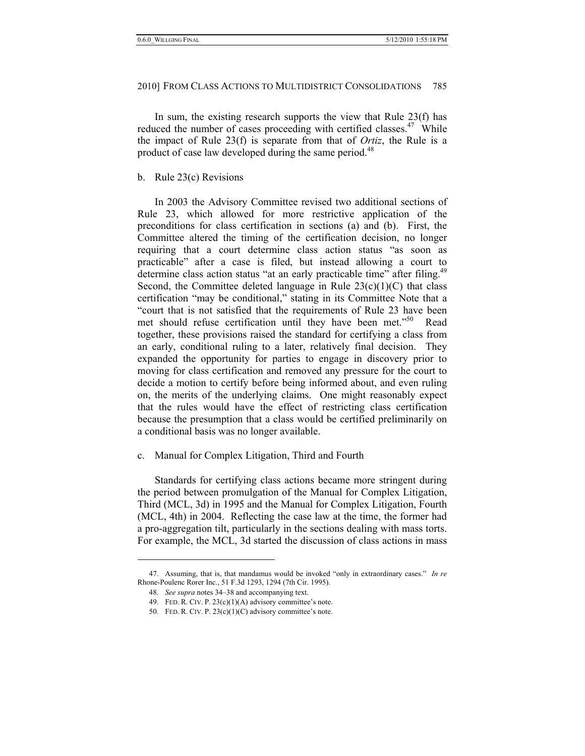In sum, the existing research supports the view that Rule 23(f) has reduced the number of cases proceeding with certified classes.<sup>47</sup> While the impact of Rule 23(f) is separate from that of *Ortiz*, the Rule is a product of case law developed during the same period.<sup>48</sup>

b. Rule 23(c) Revisions

In 2003 the Advisory Committee revised two additional sections of Rule 23, which allowed for more restrictive application of the preconditions for class certification in sections (a) and (b). First, the Committee altered the timing of the certification decision, no longer requiring that a court determine class action status "as soon as practicable" after a case is filed, but instead allowing a court to determine class action status "at an early practicable time" after filing.<sup>49</sup> Second, the Committee deleted language in Rule  $23(c)(1)(C)$  that class certification "may be conditional," stating in its Committee Note that a "court that is not satisfied that the requirements of Rule 23 have been met should refuse certification until they have been met."50 Read together, these provisions raised the standard for certifying a class from an early, conditional ruling to a later, relatively final decision. They expanded the opportunity for parties to engage in discovery prior to moving for class certification and removed any pressure for the court to decide a motion to certify before being informed about, and even ruling on, the merits of the underlying claims. One might reasonably expect that the rules would have the effect of restricting class certification because the presumption that a class would be certified preliminarily on a conditional basis was no longer available.

# c. Manual for Complex Litigation, Third and Fourth

Standards for certifying class actions became more stringent during the period between promulgation of the Manual for Complex Litigation, Third (MCL, 3d) in 1995 and the Manual for Complex Litigation, Fourth (MCL, 4th) in 2004. Reflecting the case law at the time, the former had a pro-aggregation tilt, particularly in the sections dealing with mass torts. For example, the MCL, 3d started the discussion of class actions in mass

-

 <sup>47.</sup> Assuming, that is, that mandamus would be invoked "only in extraordinary cases." *In re*  Rhone-Poulenc Rorer Inc., 51 F.3d 1293, 1294 (7th Cir. 1995).

<sup>48.</sup> *See supra* notes 34–38 and accompanying text.

 <sup>49.</sup> FED. R. CIV. P. 23(c)(1)(A) advisory committee's note.

<sup>50.</sup> FED. R. CIV. P.  $23(c)(1)(C)$  advisory committee's note.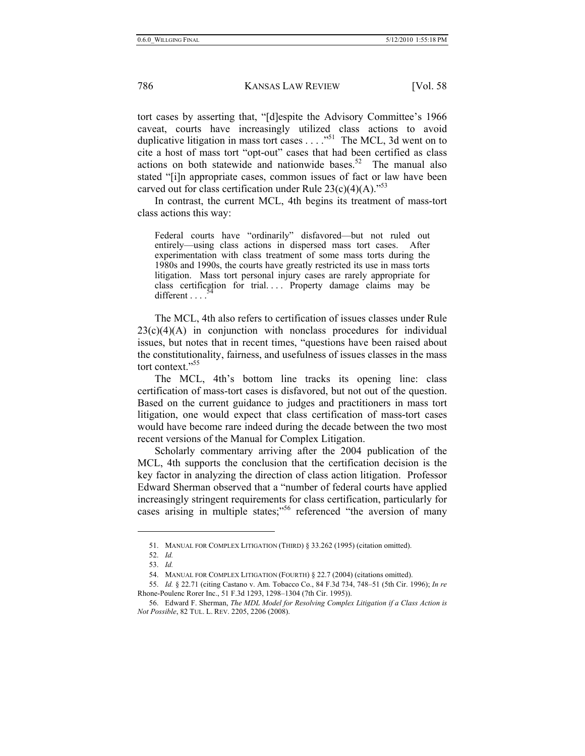tort cases by asserting that, "[d]espite the Advisory Committee's 1966 caveat, courts have increasingly utilized class actions to avoid duplicative litigation in mass tort cases  $\ldots$ .<sup>51</sup> The MCL, 3d went on to cite a host of mass tort "opt-out" cases that had been certified as class actions on both statewide and nationwide bases.<sup>52</sup> The manual also stated "[i]n appropriate cases, common issues of fact or law have been carved out for class certification under Rule  $23(c)(4)(A)$ ."<sup>53</sup>

In contrast, the current MCL, 4th begins its treatment of mass-tort class actions this way:

Federal courts have "ordinarily" disfavored—but not ruled out entirely—using class actions in dispersed mass tort cases. After experimentation with class treatment of some mass torts during the 1980s and 1990s, the courts have greatly restricted its use in mass torts litigation. Mass tort personal injury cases are rarely appropriate for class certification for trial.... Property damage claims may be different . . . .

The MCL, 4th also refers to certification of issues classes under Rule  $23(c)(4)(A)$  in conjunction with nonclass procedures for individual issues, but notes that in recent times, "questions have been raised about the constitutionality, fairness, and usefulness of issues classes in the mass tort context."55

The MCL, 4th's bottom line tracks its opening line: class certification of mass-tort cases is disfavored, but not out of the question. Based on the current guidance to judges and practitioners in mass tort litigation, one would expect that class certification of mass-tort cases would have become rare indeed during the decade between the two most recent versions of the Manual for Complex Litigation.

Scholarly commentary arriving after the 2004 publication of the MCL, 4th supports the conclusion that the certification decision is the key factor in analyzing the direction of class action litigation. Professor Edward Sherman observed that a "number of federal courts have applied increasingly stringent requirements for class certification, particularly for cases arising in multiple states;"<sup>56</sup> referenced "the aversion of many

-

 <sup>51.</sup> MANUAL FOR COMPLEX LITIGATION (THIRD) § 33.262 (1995) (citation omitted).

<sup>52.</sup> *Id.*

<sup>53.</sup> *Id.*

 <sup>54.</sup> MANUAL FOR COMPLEX LITIGATION (FOURTH) § 22.7 (2004) (citations omitted).

<sup>55.</sup> *Id.* § 22.71 (citing Castano v. Am. Tobacco Co., 84 F.3d 734, 748–51 (5th Cir. 1996); *In re* Rhone-Poulenc Rorer Inc., 51 F.3d 1293, 1298–1304 (7th Cir. 1995)).

 <sup>56.</sup> Edward F. Sherman, *The MDL Model for Resolving Complex Litigation if a Class Action is Not Possible*, 82 TUL. L. REV. 2205, 2206 (2008).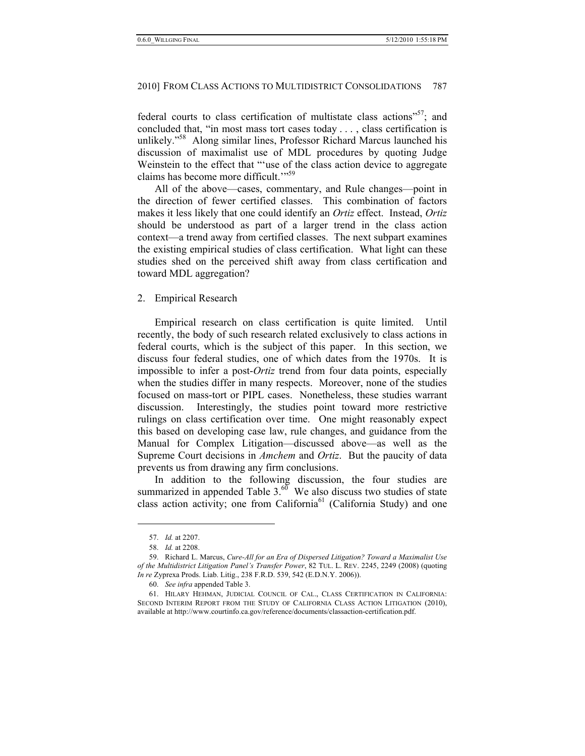federal courts to class certification of multistate class actions<sup> $57$ </sup>; and concluded that, "in most mass tort cases today . . . , class certification is unlikely.<sup>558</sup> Along similar lines, Professor Richard Marcus launched his discussion of maximalist use of MDL procedures by quoting Judge Weinstein to the effect that "'use of the class action device to aggregate claims has become more difficult."<sup>59</sup>

All of the above—cases, commentary, and Rule changes—point in the direction of fewer certified classes. This combination of factors makes it less likely that one could identify an *Ortiz* effect. Instead, *Ortiz* should be understood as part of a larger trend in the class action context—a trend away from certified classes. The next subpart examines the existing empirical studies of class certification. What light can these studies shed on the perceived shift away from class certification and toward MDL aggregation?

# 2. Empirical Research

Empirical research on class certification is quite limited. Until recently, the body of such research related exclusively to class actions in federal courts, which is the subject of this paper. In this section, we discuss four federal studies, one of which dates from the 1970s. It is impossible to infer a post-*Ortiz* trend from four data points, especially when the studies differ in many respects. Moreover, none of the studies focused on mass-tort or PIPL cases. Nonetheless, these studies warrant discussion. Interestingly, the studies point toward more restrictive rulings on class certification over time. One might reasonably expect this based on developing case law, rule changes, and guidance from the Manual for Complex Litigation—discussed above—as well as the Supreme Court decisions in *Amchem* and *Ortiz*. But the paucity of data prevents us from drawing any firm conclusions.

In addition to the following discussion, the four studies are summarized in appended Table  $3.6\sigma$  We also discuss two studies of state class action activity; one from California<sup>61</sup> (California Study) and one

<sup>57.</sup> *Id.* at 2207.

<sup>58.</sup> *Id.* at 2208.

 <sup>59.</sup> Richard L. Marcus, *Cure-All for an Era of Dispersed Litigation? Toward a Maximalist Use of the Multidistrict Litigation Panel's Transfer Power*, 82 TUL. L. REV. 2245, 2249 (2008) (quoting *In re* Zyprexa Prods. Liab. Litig., 238 F.R.D. 539, 542 (E.D.N.Y. 2006)).

<sup>60.</sup> *See infra* appended Table 3.

 <sup>61.</sup> HILARY HEHMAN, JUDICIAL COUNCIL OF CAL., CLASS CERTIFICATION IN CALIFORNIA: SECOND INTERIM REPORT FROM THE STUDY OF CALIFORNIA CLASS ACTION LITIGATION (2010), available at http://www.courtinfo.ca.gov/reference/documents/classaction-certification.pdf.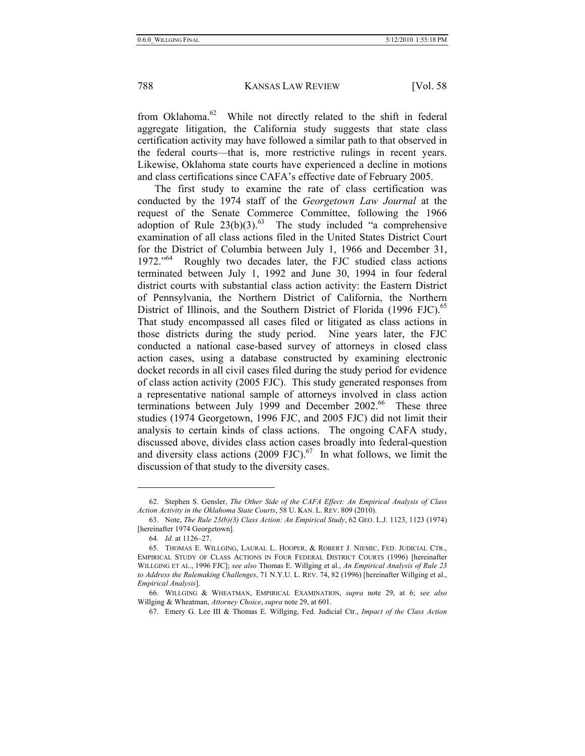from Oklahoma.<sup>62</sup> While not directly related to the shift in federal aggregate litigation, the California study suggests that state class certification activity may have followed a similar path to that observed in the federal courts—that is, more restrictive rulings in recent years. Likewise, Oklahoma state courts have experienced a decline in motions and class certifications since CAFA's effective date of February 2005.

The first study to examine the rate of class certification was conducted by the 1974 staff of the *Georgetown Law Journal* at the request of the Senate Commerce Committee, following the 1966 adoption of Rule  $23(b)(3)$ .<sup>63</sup> The study included "a comprehensive examination of all class actions filed in the United States District Court for the District of Columbia between July 1, 1966 and December 31, 1972."64 Roughly two decades later, the FJC studied class actions terminated between July 1, 1992 and June 30, 1994 in four federal district courts with substantial class action activity: the Eastern District of Pennsylvania, the Northern District of California, the Northern District of Illinois, and the Southern District of Florida (1996 FJC).<sup>65</sup> That study encompassed all cases filed or litigated as class actions in those districts during the study period. Nine years later, the FJC conducted a national case-based survey of attorneys in closed class action cases, using a database constructed by examining electronic docket records in all civil cases filed during the study period for evidence of class action activity (2005 FJC). This study generated responses from a representative national sample of attorneys involved in class action terminations between July 1999 and December  $2002.^{66}$  These three studies (1974 Georgetown, 1996 FJC, and 2005 FJC) did not limit their analysis to certain kinds of class actions. The ongoing CAFA study, discussed above, divides class action cases broadly into federal-question and diversity class actions  $(2009 \text{ FJC})$ .<sup>67</sup> In what follows, we limit the discussion of that study to the diversity cases.

 <sup>62.</sup> Stephen S. Gensler, *The Other Side of the CAFA Effect: An Empirical Analysis of Class Action Activity in the Oklahoma State Courts*, 58 U. KAN. L. REV. 809 (2010).

 <sup>63.</sup> Note, *The Rule 23(b)(3) Class Action: An Empirical Study*, 62 GEO. L.J. 1123, 1123 (1974) [hereinafter 1974 Georgetown].

<sup>64.</sup> *Id.* at 1126–27.

 <sup>65.</sup> THOMAS E. WILLGING, LAURAL L. HOOPER, & ROBERT J. NIEMIC, FED. JUDICIAL CTR., EMPIRICAL STUDY OF CLASS ACTIONS IN FOUR FEDERAL DISTRICT COURTS (1996) [hereinafter WILLGING ET AL., 1996 FJC]; *see also* Thomas E. Willging et al., *An Empirical Analysis of Rule 23 to Address the Rulemaking Challenges*, 71 N.Y.U. L. REV. 74, 82 (1996) [hereinafter Willging et al., *Empirical Analysis*].

 <sup>66.</sup> WILLGING & WHEATMAN, EMPIRICAL EXAMINATION, *supra* note 29, at 6; *see also* Willging & Wheatman, *Attorney Choice*, *supra* note 29, at 601.

 <sup>67.</sup> Emery G. Lee III & Thomas E. Willging, Fed. Judicial Ctr., *Impact of the Class Action*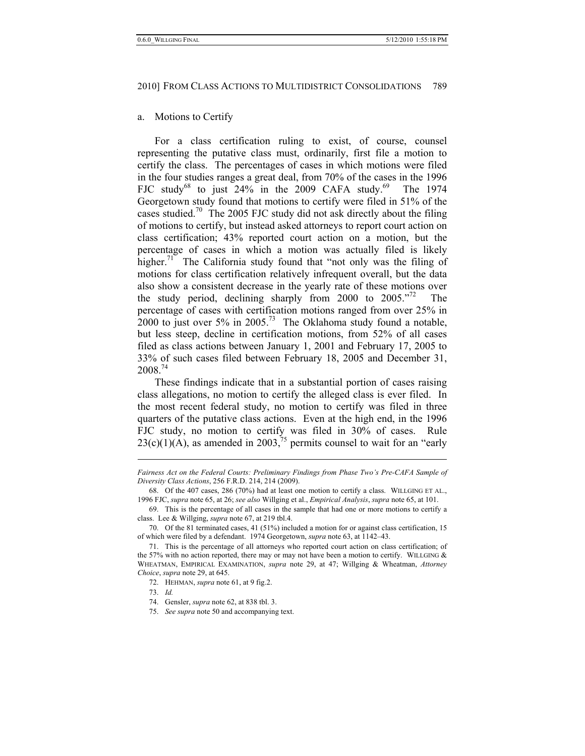# a. Motions to Certify

For a class certification ruling to exist, of course, counsel representing the putative class must, ordinarily, first file a motion to certify the class. The percentages of cases in which motions were filed in the four studies ranges a great deal, from 70% of the cases in the 1996 FJC study<sup>68</sup> to just 24% in the 2009 CAFA study.<sup>69</sup> The 1974 Georgetown study found that motions to certify were filed in 51% of the cases studied.<sup>70</sup> The 2005 FJC study did not ask directly about the filing of motions to certify, but instead asked attorneys to report court action on class certification; 43% reported court action on a motion, but the percentage of cases in which a motion was actually filed is likely higher.<sup>71</sup> The California study found that "not only was the filing of motions for class certification relatively infrequent overall, but the data also show a consistent decrease in the yearly rate of these motions over the study period, declining sharply from 2000 to  $2005.^{172}$  The percentage of cases with certification motions ranged from over 25% in 2000 to just over  $5\%$  in 2005.<sup>73</sup> The Oklahoma study found a notable, but less steep, decline in certification motions, from 52% of all cases filed as class actions between January 1, 2001 and February 17, 2005 to 33% of such cases filed between February 18, 2005 and December 31, 2008.74

These findings indicate that in a substantial portion of cases raising class allegations, no motion to certify the alleged class is ever filed. In the most recent federal study, no motion to certify was filed in three quarters of the putative class actions. Even at the high end, in the 1996 FJC study, no motion to certify was filed in 30% of cases. Rule  $23(c)(1)(A)$ , as amended in  $2003$ , <sup>75</sup> permits counsel to wait for an "early"

*Fairness Act on the Federal Courts: Preliminary Findings from Phase Two's Pre-CAFA Sample of Diversity Class Actions*, 256 F.R.D. 214, 214 (2009).

 <sup>68.</sup> Of the 407 cases, 286 (70%) had at least one motion to certify a class. WILLGING ET AL., 1996 FJC, *supra* note 65, at 26; *see also* Willging et al., *Empirical Analysis*, *supra* note 65, at 101.

 <sup>69.</sup> This is the percentage of all cases in the sample that had one or more motions to certify a class. Lee & Willging, *supra* note 67, at 219 tbl.4.

 <sup>70.</sup> Of the 81 terminated cases, 41 (51%) included a motion for or against class certification, 15 of which were filed by a defendant. 1974 Georgetown, *supra* note 63, at 1142–43.

 <sup>71.</sup> This is the percentage of all attorneys who reported court action on class certification; of the 57% with no action reported, there may or may not have been a motion to certify. WILLGING  $\&$ WHEATMAN, EMPIRICAL EXAMINATION, *supra* note 29, at 47; Willging & Wheatman, *Attorney Choice*, *supra* note 29, at 645.

 <sup>72.</sup> HEHMAN, *supra* note 61, at 9 fig.2.

<sup>73.</sup> *Id.*

 <sup>74.</sup> Gensler, *supra* note 62, at 838 tbl. 3.

<sup>75.</sup> *See supra* note 50 and accompanying text.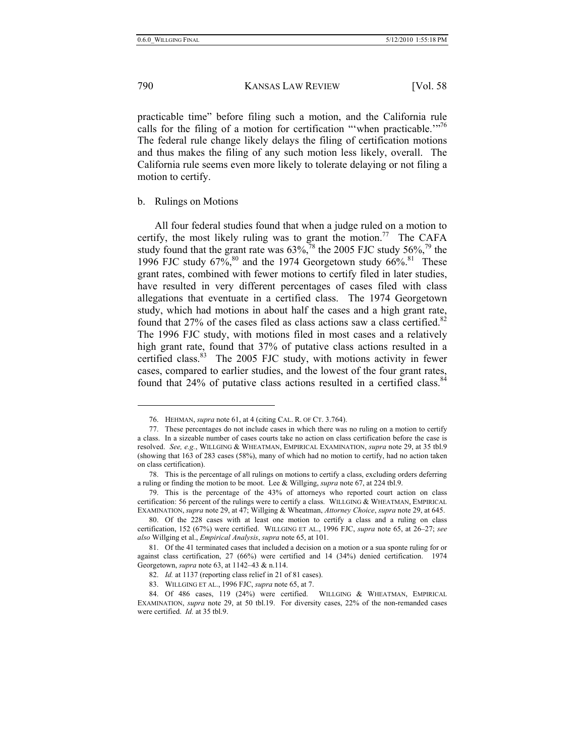1

790 KANSAS LAW REVIEW [Vol. 58

practicable time" before filing such a motion, and the California rule calls for the filing of a motion for certification ""when practicable."<sup> $/6$ </sup> The federal rule change likely delays the filing of certification motions and thus makes the filing of any such motion less likely, overall. The California rule seems even more likely to tolerate delaying or not filing a motion to certify.

b. Rulings on Motions

All four federal studies found that when a judge ruled on a motion to certify, the most likely ruling was to grant the motion.<sup>77</sup> The CAFA study found that the grant rate was  $63\%$ ,<sup>78</sup>, the 2005 FJC study  $56\%$ ,<sup>79</sup>, the 1996 FJC study  $67\%$ ,  $80$  and the 1974 Georgetown study  $66\%$ . <sup>81</sup> These grant rates, combined with fewer motions to certify filed in later studies, have resulted in very different percentages of cases filed with class allegations that eventuate in a certified class. The 1974 Georgetown study, which had motions in about half the cases and a high grant rate, found that  $27\%$  of the cases filed as class actions saw a class certified.<sup>82</sup> The 1996 FJC study, with motions filed in most cases and a relatively high grant rate, found that 37% of putative class actions resulted in a certified class. $83$  The 2005 FJC study, with motions activity in fewer cases, compared to earlier studies, and the lowest of the four grant rates, found that 24% of putative class actions resulted in a certified class.<sup>8</sup>

 <sup>76.</sup> HEHMAN, *supra* note 61, at 4 (citing CAL. R. OF CT. 3.764).

 <sup>77.</sup> These percentages do not include cases in which there was no ruling on a motion to certify a class. In a sizeable number of cases courts take no action on class certification before the case is resolved. *See, e.g.*, WILLGING & WHEATMAN, EMPIRICAL EXAMINATION, *supra* note 29, at 35 tbl.9 (showing that 163 of 283 cases (58%), many of which had no motion to certify, had no action taken on class certification).

 <sup>78.</sup> This is the percentage of all rulings on motions to certify a class, excluding orders deferring a ruling or finding the motion to be moot. Lee & Willging, *supra* note 67, at 224 tbl.9.

 <sup>79.</sup> This is the percentage of the 43% of attorneys who reported court action on class certification: 56 percent of the rulings were to certify a class. WILLGING & WHEATMAN, EMPIRICAL EXAMINATION, *supra* note 29, at 47; Willging & Wheatman, *Attorney Choice*, *supra* note 29, at 645.

 <sup>80.</sup> Of the 228 cases with at least one motion to certify a class and a ruling on class certification, 152 (67%) were certified. WILLGING ET AL., 1996 FJC, *supra* note 65, at 26–27; *see also* Willging et al., *Empirical Analysis*, *supra* note 65, at 101.

 <sup>81.</sup> Of the 41 terminated cases that included a decision on a motion or a sua sponte ruling for or against class certification, 27 (66%) were certified and 14 (34%) denied certification. 1974 Georgetown, *supra* note 63, at 1142–43 & n.114.

<sup>82.</sup> *Id.* at 1137 (reporting class relief in 21 of 81 cases).

 <sup>83.</sup> WILLGING ET AL., 1996 FJC, *supra* note 65, at 7.

 <sup>84.</sup> Of 486 cases, 119 (24%) were certified. WILLGING & WHEATMAN, EMPIRICAL EXAMINATION, *supra* note 29, at 50 tbl.19. For diversity cases, 22% of the non-remanded cases were certified. *Id.* at 35 tbl.9.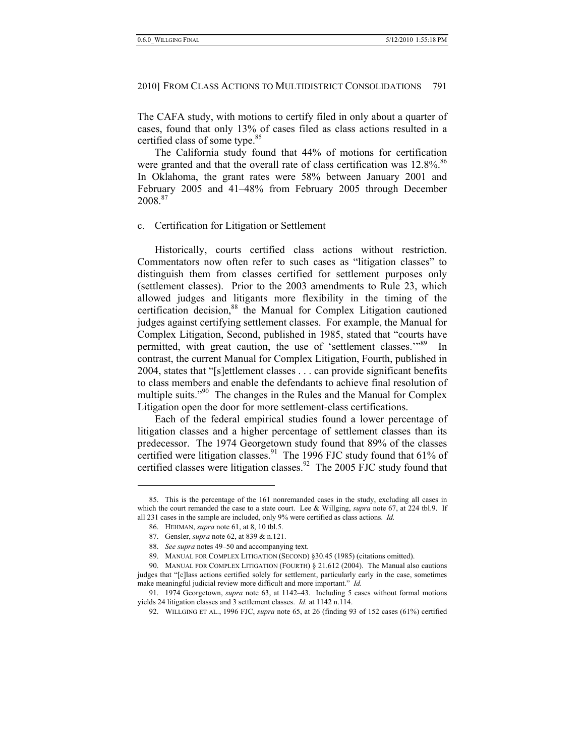The CAFA study, with motions to certify filed in only about a quarter of cases, found that only 13% of cases filed as class actions resulted in a certified class of some type.<sup>85</sup>

The California study found that 44% of motions for certification were granted and that the overall rate of class certification was  $12.8\%$ .<sup>86</sup> In Oklahoma, the grant rates were 58% between January 2001 and February 2005 and 41–48% from February 2005 through December 2008.87

#### c. Certification for Litigation or Settlement

Historically, courts certified class actions without restriction. Commentators now often refer to such cases as "litigation classes" to distinguish them from classes certified for settlement purposes only (settlement classes). Prior to the 2003 amendments to Rule 23, which allowed judges and litigants more flexibility in the timing of the certification decision,<sup>88</sup> the Manual for Complex Litigation cautioned judges against certifying settlement classes. For example, the Manual for Complex Litigation, Second, published in 1985, stated that "courts have permitted, with great caution, the use of 'settlement classes."<sup>89</sup> In contrast, the current Manual for Complex Litigation, Fourth, published in 2004, states that "[s]ettlement classes . . . can provide significant benefits to class members and enable the defendants to achieve final resolution of multiple suits."<sup>90</sup> The changes in the Rules and the Manual for Complex Litigation open the door for more settlement-class certifications.

Each of the federal empirical studies found a lower percentage of litigation classes and a higher percentage of settlement classes than its predecessor. The 1974 Georgetown study found that 89% of the classes certified were litigation classes.<sup>91</sup> The 1996 FJC study found that 61% of certified classes were litigation classes.<sup>92</sup> The 2005 FJC study found that

 <sup>85.</sup> This is the percentage of the 161 nonremanded cases in the study, excluding all cases in which the court remanded the case to a state court. Lee & Willging, *supra* note 67, at 224 tbl.9. If all 231 cases in the sample are included, only 9% were certified as class actions. *Id.* 

 <sup>86.</sup> HEHMAN, *supra* note 61, at 8, 10 tbl.5.

 <sup>87.</sup> Gensler, *supra* note 62, at 839 & n.121.

<sup>88.</sup> *See supra* notes 49–50 and accompanying text.

 <sup>89.</sup> MANUAL FOR COMPLEX LITIGATION (SECOND) §30.45 (1985) (citations omitted).

 <sup>90.</sup> MANUAL FOR COMPLEX LITIGATION (FOURTH) § 21.612 (2004). The Manual also cautions judges that "[c]lass actions certified solely for settlement, particularly early in the case, sometimes make meaningful judicial review more difficult and more important." *Id.*

 <sup>91. 1974</sup> Georgetown, *supra* note 63, at 1142–43. Including 5 cases without formal motions yields 24 litigation classes and 3 settlement classes. *Id.* at 1142 n.114.

 <sup>92.</sup> WILLGING ET AL., 1996 FJC, *supra* note 65, at 26 (finding 93 of 152 cases (61%) certified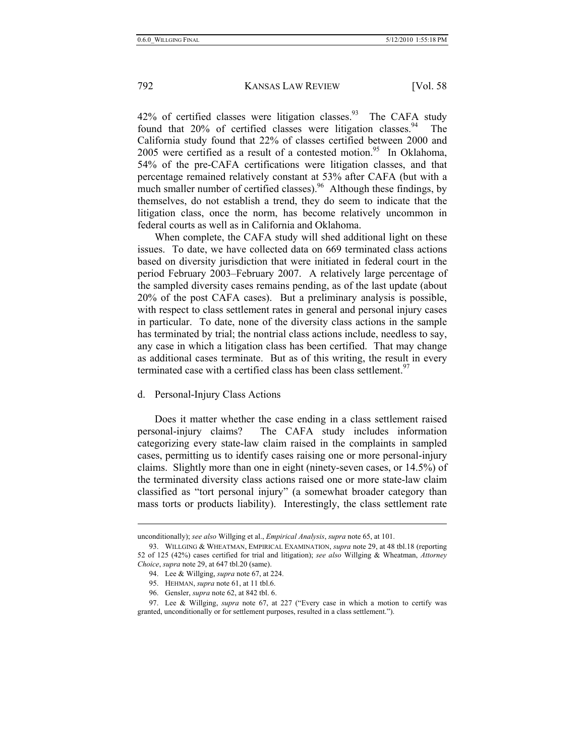$42\%$  of certified classes were litigation classes.<sup>93</sup> The CAFA study found that  $20\%$  of certified classes were litigation classes. <sup>94</sup> The California study found that 22% of classes certified between 2000 and 2005 were certified as a result of a contested motion.<sup>95</sup> In Oklahoma, 54% of the pre-CAFA certifications were litigation classes, and that percentage remained relatively constant at 53% after CAFA (but with a much smaller number of certified classes). <sup>96</sup> Although these findings, by themselves, do not establish a trend, they do seem to indicate that the litigation class, once the norm, has become relatively uncommon in federal courts as well as in California and Oklahoma.

When complete, the CAFA study will shed additional light on these issues. To date, we have collected data on 669 terminated class actions based on diversity jurisdiction that were initiated in federal court in the period February 2003–February 2007. A relatively large percentage of the sampled diversity cases remains pending, as of the last update (about 20% of the post CAFA cases). But a preliminary analysis is possible, with respect to class settlement rates in general and personal injury cases in particular. To date, none of the diversity class actions in the sample has terminated by trial; the nontrial class actions include, needless to say, any case in which a litigation class has been certified. That may change as additional cases terminate. But as of this writing, the result in every terminated case with a certified class has been class settlement.<sup>97</sup>

#### d. Personal-Injury Class Actions

Does it matter whether the case ending in a class settlement raised personal-injury claims? The CAFA study includes information categorizing every state-law claim raised in the complaints in sampled cases, permitting us to identify cases raising one or more personal-injury claims. Slightly more than one in eight (ninety-seven cases, or 14.5%) of the terminated diversity class actions raised one or more state-law claim classified as "tort personal injury" (a somewhat broader category than mass torts or products liability). Interestingly, the class settlement rate

unconditionally); *see also* Willging et al., *Empirical Analysis*, *supra* note 65, at 101.

 <sup>93.</sup> WILLGING & WHEATMAN, EMPIRICAL EXAMINATION, *supra* note 29, at 48 tbl.18 (reporting 52 of 125 (42%) cases certified for trial and litigation); *see also* Willging & Wheatman, *Attorney Choice*, *supra* note 29, at 647 tbl.20 (same).

 <sup>94.</sup> Lee & Willging, *supra* note 67, at 224.

 <sup>95.</sup> HEHMAN, *supra* note 61, at 11 tbl.6.

 <sup>96.</sup> Gensler, *supra* note 62, at 842 tbl. 6.

 <sup>97.</sup> Lee & Willging, *supra* note 67, at 227 ("Every case in which a motion to certify was granted, unconditionally or for settlement purposes, resulted in a class settlement.").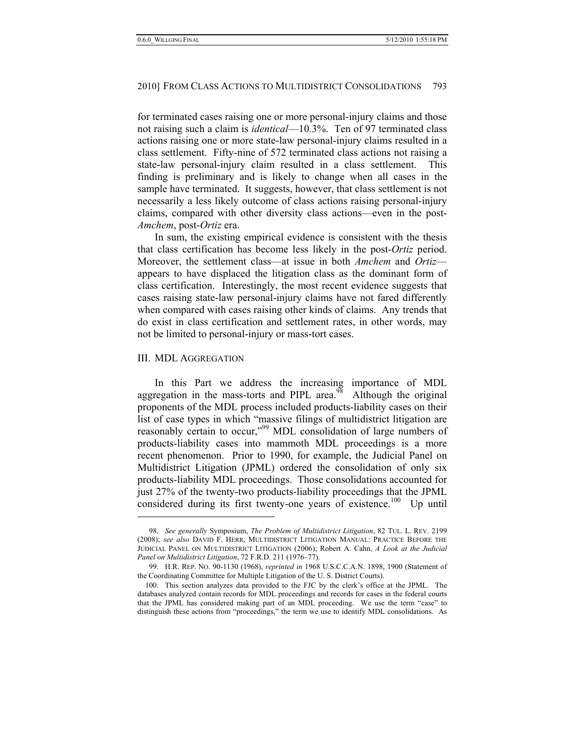for terminated cases raising one or more personal-injury claims and those not raising such a claim is *identical*—10.3%. Ten of 97 terminated class actions raising one or more state-law personal-injury claims resulted in a class settlement. Fifty-nine of 572 terminated class actions not raising a state-law personal-injury claim resulted in a class settlement. This finding is preliminary and is likely to change when all cases in the sample have terminated. It suggests, however, that class settlement is not necessarily a less likely outcome of class actions raising personal-injury claims, compared with other diversity class actions—even in the post-*Amchem*, post-*Ortiz* era.

In sum, the existing empirical evidence is consistent with the thesis that class certification has become less likely in the post-*Ortiz* period. Moreover, the settlement class—at issue in both *Amchem* and *Ortiz* appears to have displaced the litigation class as the dominant form of class certification. Interestingly, the most recent evidence suggests that cases raising state-law personal-injury claims have not fared differently when compared with cases raising other kinds of claims. Any trends that do exist in class certification and settlement rates, in other words, may not be limited to personal-injury or mass-tort cases.

# III. MDL AGGREGATION

-

In this Part we address the increasing importance of MDL aggregation in the mass-torts and PIPL area. $98$  Although the original proponents of the MDL process included products-liability cases on their list of case types in which "massive filings of multidistrict litigation are reasonably certain to occur,"99 MDL consolidation of large numbers of products-liability cases into mammoth MDL proceedings is a more recent phenomenon. Prior to 1990, for example, the Judicial Panel on Multidistrict Litigation (JPML) ordered the consolidation of only six products-liability MDL proceedings. Those consolidations accounted for just 27% of the twenty-two products-liability proceedings that the JPML considered during its first twenty-one years of existence.<sup>100</sup> Up until

<sup>98.</sup> *See generally* Symposium, *The Problem of Multidistrict Litigation*, 82 TUL. L. REV. 2199 (2008); *see also* DAVID F. HERR, MULTIDISTRICT LITIGATION MANUAL: PRACTICE BEFORE THE JUDICIAL PANEL ON MULTIDISTRICT LITIGATION (2006); Robert A. Cahn, *A Look at the Judicial Panel on Multidistrict Litigation*, 72 F.R.D. 211 (1976–77).

 <sup>99.</sup> H.R. REP. NO. 90-1130 (1968), *reprinted in* 1968 U.S.C.C.A.N. 1898, 1900 (Statement of the Coordinating Committee for Multiple Litigation of the U. S. District Courts).

 <sup>100.</sup> This section analyzes data provided to the FJC by the clerk's office at the JPML. The databases analyzed contain records for MDL proceedings and records for cases in the federal courts that the JPML has considered making part of an MDL proceeding. We use the term "case" to distinguish these actions from "proceedings," the term we use to identify MDL consolidations. As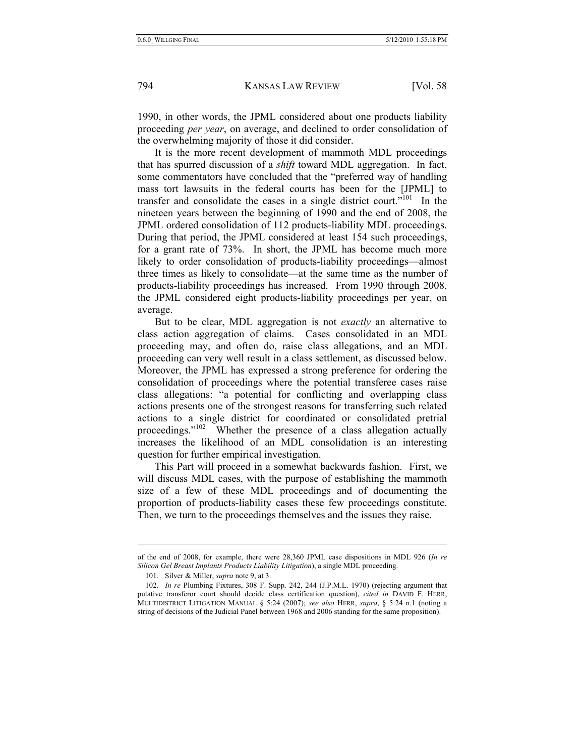1990, in other words, the JPML considered about one products liability proceeding *per year*, on average, and declined to order consolidation of the overwhelming majority of those it did consider.

It is the more recent development of mammoth MDL proceedings that has spurred discussion of a *shift* toward MDL aggregation. In fact, some commentators have concluded that the "preferred way of handling mass tort lawsuits in the federal courts has been for the [JPML] to transfer and consolidate the cases in a single district court."<sup>101</sup> In the nineteen years between the beginning of 1990 and the end of 2008, the JPML ordered consolidation of 112 products-liability MDL proceedings. During that period, the JPML considered at least 154 such proceedings, for a grant rate of 73%. In short, the JPML has become much more likely to order consolidation of products-liability proceedings—almost three times as likely to consolidate—at the same time as the number of products-liability proceedings has increased. From 1990 through 2008, the JPML considered eight products-liability proceedings per year, on average.

But to be clear, MDL aggregation is not *exactly* an alternative to class action aggregation of claims. Cases consolidated in an MDL proceeding may, and often do, raise class allegations, and an MDL proceeding can very well result in a class settlement, as discussed below. Moreover, the JPML has expressed a strong preference for ordering the consolidation of proceedings where the potential transferee cases raise class allegations: "a potential for conflicting and overlapping class actions presents one of the strongest reasons for transferring such related actions to a single district for coordinated or consolidated pretrial proceedings."<sup>102</sup> Whether the presence of a class allegation actually increases the likelihood of an MDL consolidation is an interesting question for further empirical investigation.

This Part will proceed in a somewhat backwards fashion. First, we will discuss MDL cases, with the purpose of establishing the mammoth size of a few of these MDL proceedings and of documenting the proportion of products-liability cases these few proceedings constitute. Then, we turn to the proceedings themselves and the issues they raise.

of the end of 2008, for example, there were 28,360 JPML case dispositions in MDL 926 (*In re Silicon Gel Breast Implants Products Liability Litigation*), a single MDL proceeding.

 <sup>101.</sup> Silver & Miller, *supra* note 9, at 3.

<sup>102.</sup> *In re* Plumbing Fixtures, 308 F. Supp. 242, 244 (J.P.M.L. 1970) (rejecting argument that putative transferor court should decide class certification question), *cited in* DAVID F. HERR, MULTIDISTRICT LITIGATION MANUAL § 5:24 (2007); *see also* HERR, *supra*, § 5:24 n.1 (noting a string of decisions of the Judicial Panel between 1968 and 2006 standing for the same proposition).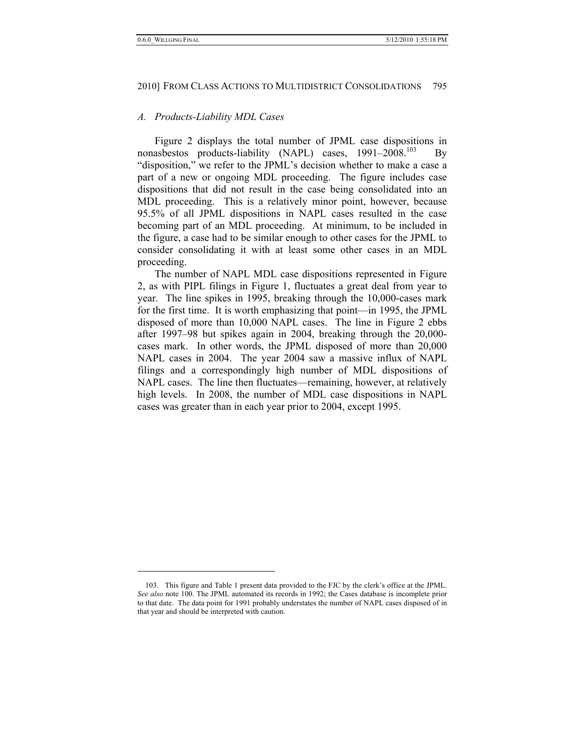1

# 2010] FROM CLASS ACTIONS TO MULTIDISTRICT CONSOLIDATIONS 795

# *A. Products-Liability MDL Cases*

Figure 2 displays the total number of JPML case dispositions in nonasbestos products-liability (NAPL) cases,  $1991-2008$ .<sup>103</sup> By "disposition," we refer to the JPML's decision whether to make a case a part of a new or ongoing MDL proceeding. The figure includes case dispositions that did not result in the case being consolidated into an MDL proceeding. This is a relatively minor point, however, because 95.5% of all JPML dispositions in NAPL cases resulted in the case becoming part of an MDL proceeding. At minimum, to be included in the figure, a case had to be similar enough to other cases for the JPML to consider consolidating it with at least some other cases in an MDL proceeding.

The number of NAPL MDL case dispositions represented in Figure 2, as with PIPL filings in Figure 1, fluctuates a great deal from year to year. The line spikes in 1995, breaking through the 10,000-cases mark for the first time. It is worth emphasizing that point—in 1995, the JPML disposed of more than 10,000 NAPL cases. The line in Figure 2 ebbs after 1997–98 but spikes again in 2004, breaking through the 20,000 cases mark. In other words, the JPML disposed of more than 20,000 NAPL cases in 2004. The year 2004 saw a massive influx of NAPL filings and a correspondingly high number of MDL dispositions of NAPL cases. The line then fluctuates—remaining, however, at relatively high levels. In 2008, the number of MDL case dispositions in NAPL cases was greater than in each year prior to 2004, except 1995.

 <sup>103.</sup> This figure and Table 1 present data provided to the FJC by the clerk's office at the JPML. *See also* note 100. The JPML automated its records in 1992; the Cases database is incomplete prior to that date. The data point for 1991 probably understates the number of NAPL cases disposed of in that year and should be interpreted with caution.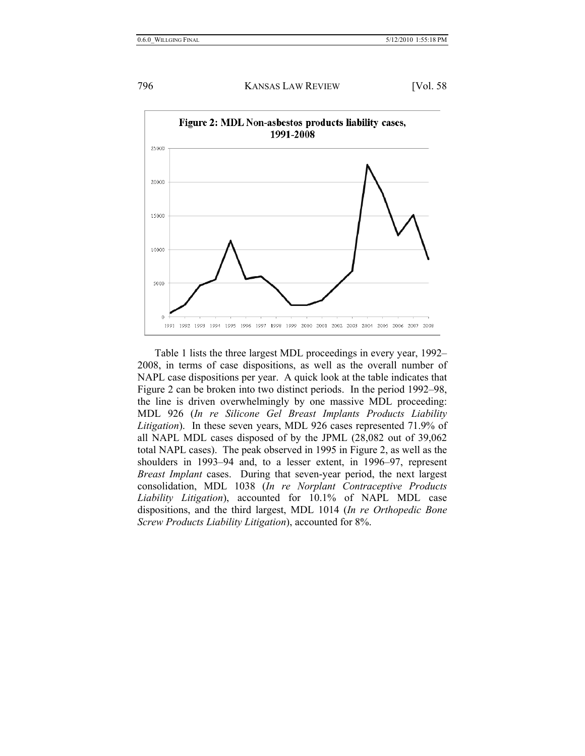

Table 1 lists the three largest MDL proceedings in every year, 1992– 2008, in terms of case dispositions, as well as the overall number of NAPL case dispositions per year. A quick look at the table indicates that Figure 2 can be broken into two distinct periods. In the period 1992–98, the line is driven overwhelmingly by one massive MDL proceeding: MDL 926 (*In re Silicone Gel Breast Implants Products Liability Litigation*). In these seven years, MDL 926 cases represented 71.9% of all NAPL MDL cases disposed of by the JPML (28,082 out of 39,062 total NAPL cases). The peak observed in 1995 in Figure 2, as well as the shoulders in 1993–94 and, to a lesser extent, in 1996–97, represent *Breast Implant* cases. During that seven-year period, the next largest consolidation, MDL 1038 (*In re Norplant Contraceptive Products Liability Litigation*), accounted for 10.1% of NAPL MDL case dispositions, and the third largest, MDL 1014 (*In re Orthopedic Bone Screw Products Liability Litigation*), accounted for 8%.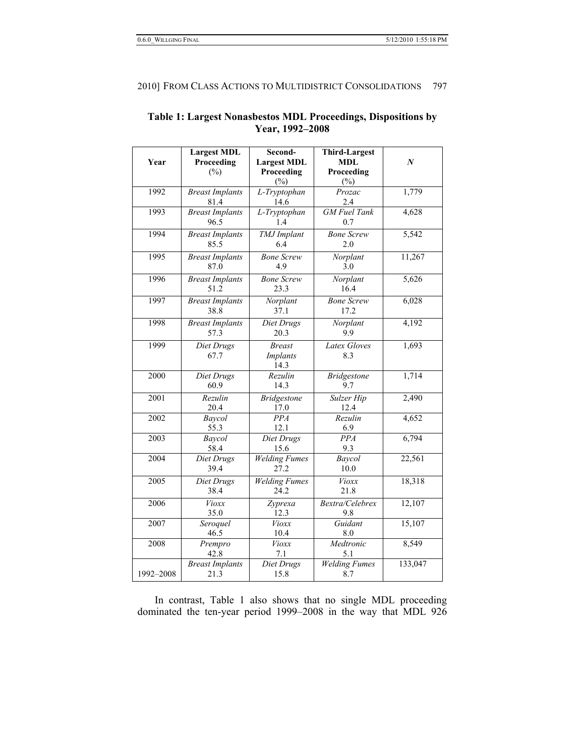| Year      | <b>Largest MDL</b><br>Proceeding<br>(%) | Second-<br><b>Largest MDL</b><br>Proceeding<br>$(\%)$ | <b>Third-Largest</b><br><b>MDL</b><br>Proceeding<br>$(\%)$ | $\boldsymbol{N}$ |
|-----------|-----------------------------------------|-------------------------------------------------------|------------------------------------------------------------|------------------|
| 1992      | <b>Breast Implants</b><br>81.4          | L-Tryptophan<br>14.6                                  | Prozac<br>2.4                                              | 1,779            |
| 1993      | <b>Breast Implants</b><br>96.5          | L-Tryptophan<br>14                                    | <b>GM</b> Fuel Tank<br>0.7                                 | 4,628            |
| 1994      | <b>Breast Implants</b><br>85.5          | TMJ Implant<br>6.4                                    | <b>Bone Screw</b><br>2.0                                   | 5,542            |
| 1995      | <b>Breast Implants</b><br>87.0          | <b>Bone Screw</b><br>4.9                              | Norplant<br>3.0                                            | 11,267           |
| 1996      | <b>Breast Implants</b><br>51.2          | <b>Bone Screw</b><br>23.3                             | Norplant<br>16.4                                           | 5,626            |
| 1997      | <b>Breast Implants</b><br>38.8          | Norplant<br>37.1                                      | <b>Bone Screw</b><br>17.2                                  | 6,028            |
| 1998      | <b>Breast Implants</b><br>57.3          | Diet Drugs<br>20.3                                    | Norplant<br>9.9                                            | 4,192            |
| 1999      | Diet Drugs<br>67.7                      | <b>Breast</b><br><b>Implants</b><br>14.3              | <b>Latex Gloves</b><br>8.3                                 | 1,693            |
| 2000      | Diet Drugs<br>60.9                      | Rezulin<br>14.3                                       | <b>Bridgestone</b><br>9.7                                  | 1,714            |
| 2001      | Rezulin<br>20.4                         | <b>Bridgestone</b><br>17.0                            | Sulzer Hip<br>12.4                                         | 2,490            |
| 2002      | <b>Baycol</b><br>55.3                   | $\overline{PPA}$<br>12.1                              | Rezulin<br>6.9                                             | 4,652            |
| 2003      | <b>Baycol</b><br>58.4                   | Diet Drugs<br>15.6                                    | PPA<br>9.3                                                 | 6,794            |
| 2004      | Diet Drugs<br>39.4                      | <b>Welding Fumes</b><br>27.2                          | <b>Baycol</b><br>10.0                                      | 22,561           |
| 2005      | Diet Drugs<br>38.4                      | <b>Welding Fumes</b><br>24.2                          | Vioxx<br>21.8                                              | 18,318           |
| 2006      | Vioxx<br>35.0                           | Zyprexa<br>12.3                                       | Bextra/Celebrex<br>9.8                                     | 12,107           |
| 2007      | Seroquel<br>46.5                        | Vioxx<br>10.4                                         | Guidant<br>8.0                                             | 15,107           |
| 2008      | Prempro<br>42.8                         | Vioxx<br>7.1                                          | Medtronic<br>5.1                                           | 8,549            |
| 1992-2008 | <b>Breast Implants</b><br>21.3          | Diet Drugs<br>15.8                                    | <b>Welding Fumes</b><br>8.7                                | 133,047          |

# **Table 1: Largest Nonasbestos MDL Proceedings, Dispositions by Year, 1992–2008**

In contrast, Table 1 also shows that no single MDL proceeding dominated the ten-year period 1999–2008 in the way that MDL 926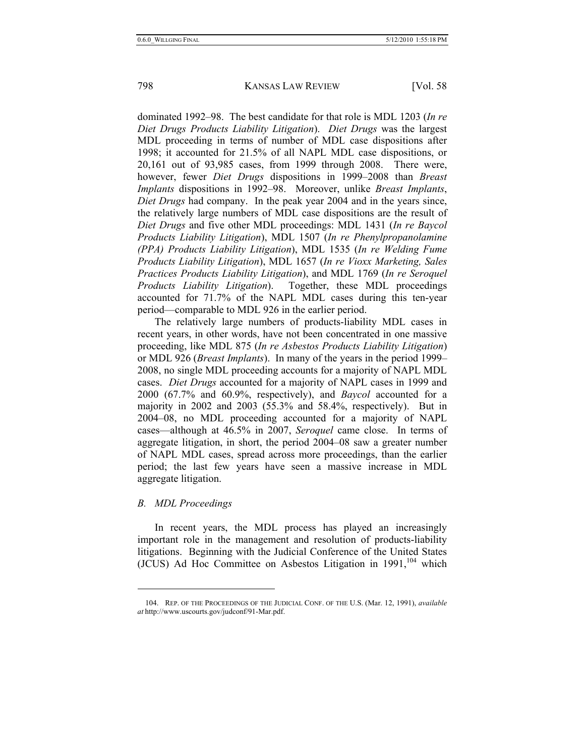dominated 1992–98. The best candidate for that role is MDL 1203 (*In re Diet Drugs Products Liability Litigation*). *Diet Drugs* was the largest MDL proceeding in terms of number of MDL case dispositions after 1998; it accounted for 21.5% of all NAPL MDL case dispositions, or 20,161 out of 93,985 cases, from 1999 through 2008. There were, however, fewer *Diet Drugs* dispositions in 1999–2008 than *Breast Implants* dispositions in 1992–98. Moreover, unlike *Breast Implants*, *Diet Drugs* had company. In the peak year 2004 and in the years since, the relatively large numbers of MDL case dispositions are the result of *Diet Drugs* and five other MDL proceedings: MDL 1431 (*In re Baycol Products Liability Litigation*), MDL 1507 (*In re Phenylpropanolamine (PPA) Products Liability Litigation*), MDL 1535 (*In re Welding Fume Products Liability Litigation*), MDL 1657 (*In re Vioxx Marketing, Sales Practices Products Liability Litigation*), and MDL 1769 (*In re Seroquel Products Liability Litigation*). Together, these MDL proceedings accounted for 71.7% of the NAPL MDL cases during this ten-year period—comparable to MDL 926 in the earlier period.

The relatively large numbers of products-liability MDL cases in recent years, in other words, have not been concentrated in one massive proceeding, like MDL 875 (*In re Asbestos Products Liability Litigation*) or MDL 926 (*Breast Implants*). In many of the years in the period 1999– 2008, no single MDL proceeding accounts for a majority of NAPL MDL cases. *Diet Drugs* accounted for a majority of NAPL cases in 1999 and 2000 (67.7% and 60.9%, respectively), and *Baycol* accounted for a majority in 2002 and 2003 (55.3% and 58.4%, respectively). But in 2004–08, no MDL proceeding accounted for a majority of NAPL cases—although at 46.5% in 2007, *Seroquel* came close. In terms of aggregate litigation, in short, the period 2004–08 saw a greater number of NAPL MDL cases, spread across more proceedings, than the earlier period; the last few years have seen a massive increase in MDL aggregate litigation.

# *B. MDL Proceedings*

l

In recent years, the MDL process has played an increasingly important role in the management and resolution of products-liability litigations. Beginning with the Judicial Conference of the United States (JCUS) Ad Hoc Committee on Asbestos Litigation in  $1991$ ,  $104$  which

 <sup>104.</sup> REP. OF THE PROCEEDINGS OF THE JUDICIAL CONF. OF THE U.S. (Mar. 12, 1991), *available at* http://www.uscourts.gov/judconf/91-Mar.pdf.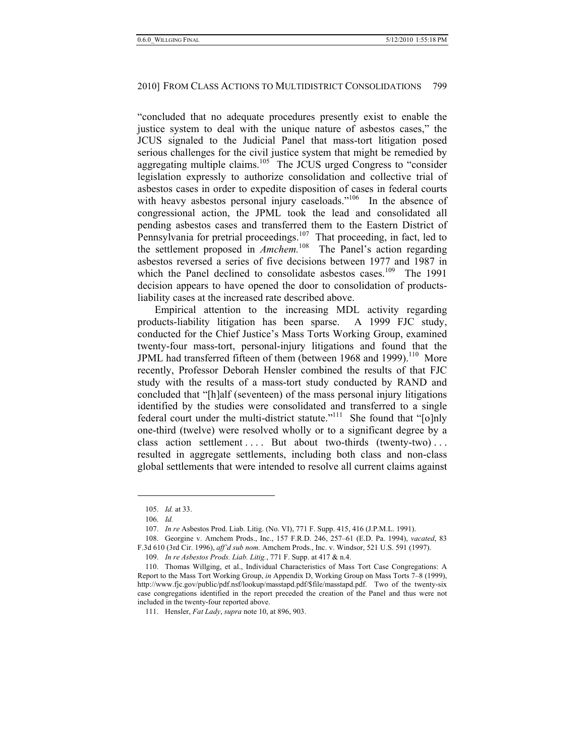"concluded that no adequate procedures presently exist to enable the justice system to deal with the unique nature of asbestos cases," the JCUS signaled to the Judicial Panel that mass-tort litigation posed serious challenges for the civil justice system that might be remedied by aggregating multiple claims. $105$  The JCUS urged Congress to "consider" legislation expressly to authorize consolidation and collective trial of asbestos cases in order to expedite disposition of cases in federal courts with heavy asbestos personal injury caseloads."<sup>106</sup> In the absence of congressional action, the JPML took the lead and consolidated all pending asbestos cases and transferred them to the Eastern District of Pennsylvania for pretrial proceedings.<sup>107</sup> That proceeding, in fact, led to the settlement proposed in *Amchem.*108 The Panel's action regarding asbestos reversed a series of five decisions between 1977 and 1987 in which the Panel declined to consolidate asbestos cases.<sup>109</sup> The 1991 decision appears to have opened the door to consolidation of productsliability cases at the increased rate described above.

Empirical attention to the increasing MDL activity regarding products-liability litigation has been sparse. A 1999 FJC study, conducted for the Chief Justice's Mass Torts Working Group, examined twenty-four mass-tort, personal-injury litigations and found that the JPML had transferred fifteen of them (between 1968 and 1999).<sup>110</sup> More recently, Professor Deborah Hensler combined the results of that FJC study with the results of a mass-tort study conducted by RAND and concluded that "[h]alf (seventeen) of the mass personal injury litigations identified by the studies were consolidated and transferred to a single federal court under the multi-district statute."<sup>111</sup> She found that " $[0]$ nly one-third (twelve) were resolved wholly or to a significant degree by a class action settlement .... But about two-thirds (twenty-two)... resulted in aggregate settlements, including both class and non-class global settlements that were intended to resolve all current claims against

<sup>105.</sup> *Id.* at 33.

<sup>106.</sup> *Id.*

<sup>107.</sup> *In re* Asbestos Prod. Liab. Litig. (No. VI), 771 F. Supp. 415, 416 (J.P.M.L. 1991).

 <sup>108.</sup> Georgine v. Amchem Prods., Inc., 157 F.R.D. 246, 257–61 (E.D. Pa. 1994), *vacated*, 83 F.3d 610 (3rd Cir. 1996), *aff'd sub nom.* Amchem Prods., Inc. v. Windsor, 521 U.S. 591 (1997).

<sup>109.</sup> *In re Asbestos Prods. Liab. Litig.*, 771 F. Supp. at 417 & n.4.

 <sup>110.</sup> Thomas Willging, et al., Individual Characteristics of Mass Tort Case Congregations: A Report to the Mass Tort Working Group, *in* Appendix D, Working Group on Mass Torts 7–8 (1999), http://www.fjc.gov/public/pdf.nsf/lookup/masstapd.pdf/\$file/masstapd.pdf. Two of the twenty-six case congregations identified in the report preceded the creation of the Panel and thus were not included in the twenty-four reported above.

 <sup>111.</sup> Hensler, *Fat Lady*, *supra* note 10, at 896, 903.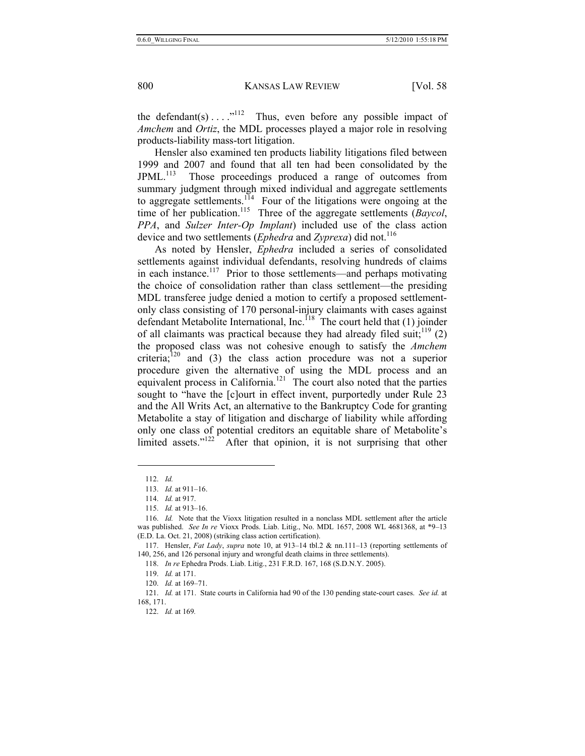the defendant(s) . . . ."112 Thus, even before any possible impact of *Amchem* and *Ortiz*, the MDL processes played a major role in resolving products-liability mass-tort litigation.

Hensler also examined ten products liability litigations filed between 1999 and 2007 and found that all ten had been consolidated by the JPML.<sup>113</sup> Those proceedings produced a range of outcomes from summary judgment through mixed individual and aggregate settlements to aggregate settlements.<sup>114</sup> Four of the litigations were ongoing at the time of her publication.115 Three of the aggregate settlements (*Baycol*, *PPA*, and *Sulzer Inter-Op Implant*) included use of the class action device and two settlements (*Ephedra* and *Zyprexa*) did not.<sup>116</sup>

As noted by Hensler, *Ephedra* included a series of consolidated settlements against individual defendants, resolving hundreds of claims in each instance.<sup>117</sup> Prior to those settlements—and perhaps motivating the choice of consolidation rather than class settlement—the presiding MDL transferee judge denied a motion to certify a proposed settlementonly class consisting of 170 personal-injury claimants with cases against defendant Metabolite International, Inc.<sup>118</sup> The court held that  $(1)$  joinder of all claimants was practical because they had already filed suit;<sup>119</sup> (2) the proposed class was not cohesive enough to satisfy the *Amchem*  criteria;120 and (3) the class action procedure was not a superior procedure given the alternative of using the MDL process and an equivalent process in California.<sup>121</sup> The court also noted that the parties sought to "have the [c]ourt in effect invent, purportedly under Rule 23 and the All Writs Act, an alternative to the Bankruptcy Code for granting Metabolite a stay of litigation and discharge of liability while affording only one class of potential creditors an equitable share of Metabolite's limited assets."<sup>122</sup> After that opinion, it is not surprising that other

-

<sup>112.</sup> *Id.*

<sup>113.</sup> *Id.* at 911–16.

<sup>114.</sup> *Id.* at 917.

<sup>115.</sup> *Id.* at 913–16.

<sup>116.</sup> *Id.* Note that the Vioxx litigation resulted in a nonclass MDL settlement after the article was published. *See In re* Vioxx Prods. Liab. Litig., No. MDL 1657, 2008 WL 4681368, at \*9–13 (E.D. La. Oct. 21, 2008) (striking class action certification).

 <sup>117.</sup> Hensler, *Fat Lady*, *supra* note 10, at 913–14 tbl.2 & nn.111–13 (reporting settlements of 140, 256, and 126 personal injury and wrongful death claims in three settlements).

<sup>118.</sup> *In re* Ephedra Prods. Liab. Litig., 231 F.R.D. 167, 168 (S.D.N.Y. 2005).

<sup>119.</sup> *Id.* at 171.

<sup>120.</sup> *Id.* at 169–71.

<sup>121.</sup> *Id.* at 171. State courts in California had 90 of the 130 pending state-court cases. *See id.* at 168, 171.

<sup>122.</sup> *Id.* at 169*.*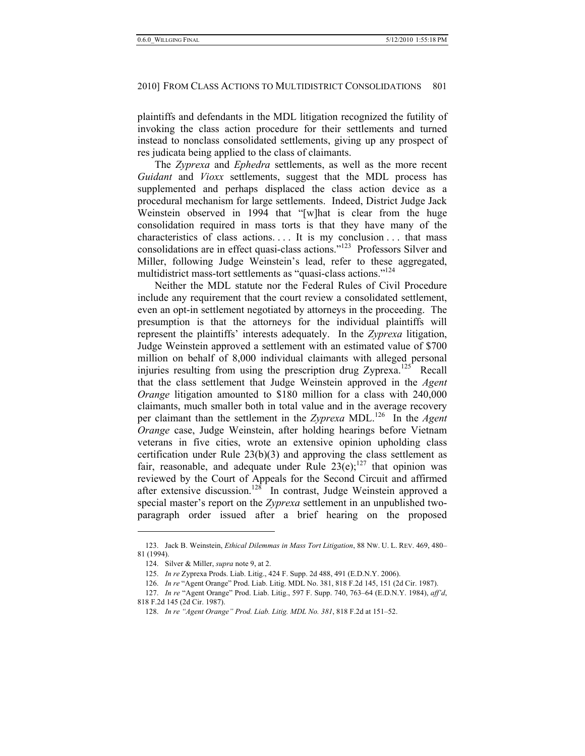plaintiffs and defendants in the MDL litigation recognized the futility of invoking the class action procedure for their settlements and turned instead to nonclass consolidated settlements, giving up any prospect of res judicata being applied to the class of claimants.

The *Zyprexa* and *Ephedra* settlements, as well as the more recent *Guidant* and *Vioxx* settlements, suggest that the MDL process has supplemented and perhaps displaced the class action device as a procedural mechanism for large settlements. Indeed, District Judge Jack Weinstein observed in 1994 that "[w]hat is clear from the huge consolidation required in mass torts is that they have many of the characteristics of class actions. . . . It is my conclusion . . . that mass consolidations are in effect quasi-class actions."123 Professors Silver and Miller, following Judge Weinstein's lead, refer to these aggregated, multidistrict mass-tort settlements as "quasi-class actions."<sup>124</sup>

Neither the MDL statute nor the Federal Rules of Civil Procedure include any requirement that the court review a consolidated settlement, even an opt-in settlement negotiated by attorneys in the proceeding. The presumption is that the attorneys for the individual plaintiffs will represent the plaintiffs' interests adequately. In the *Zyprexa* litigation, Judge Weinstein approved a settlement with an estimated value of \$700 million on behalf of 8,000 individual claimants with alleged personal injuries resulting from using the prescription drug Zyprexa.<sup>125</sup> Recall that the class settlement that Judge Weinstein approved in the *Agent Orange* litigation amounted to \$180 million for a class with 240,000 claimants, much smaller both in total value and in the average recovery per claimant than the settlement in the *Zyprexa* MDL.<sup>126</sup> In the *Agent Orange* case, Judge Weinstein, after holding hearings before Vietnam veterans in five cities, wrote an extensive opinion upholding class certification under Rule  $23(b)(3)$  and approving the class settlement as fair, reasonable, and adequate under Rule  $23(e)$ ;<sup>127</sup> that opinion was reviewed by the Court of Appeals for the Second Circuit and affirmed after extensive discussion.<sup>128</sup> In contrast, Judge Weinstein approved a special master's report on the *Zyprexa* settlement in an unpublished twoparagraph order issued after a brief hearing on the proposed

 $\overline{a}$ 

 <sup>123.</sup> Jack B. Weinstein, *Ethical Dilemmas in Mass Tort Litigation*, 88 NW. U. L. REV. 469, 480– 81 (1994).

 <sup>124.</sup> Silver & Miller, *supra* note 9, at 2.

<sup>125.</sup> *In re* Zyprexa Prods. Liab. Litig., 424 F. Supp. 2d 488, 491 (E.D.N.Y. 2006).

<sup>126.</sup> *In re* "Agent Orange" Prod. Liab. Litig. MDL No. 381, 818 F.2d 145, 151 (2d Cir. 1987).

<sup>127.</sup> *In re* "Agent Orange" Prod. Liab. Litig., 597 F. Supp. 740, 763–64 (E.D.N.Y. 1984), *aff'd*, 818 F.2d 145 (2d Cir. 1987).

<sup>128.</sup> *In re "Agent Orange" Prod. Liab. Litig. MDL No. 381*, 818 F.2d at 151–52.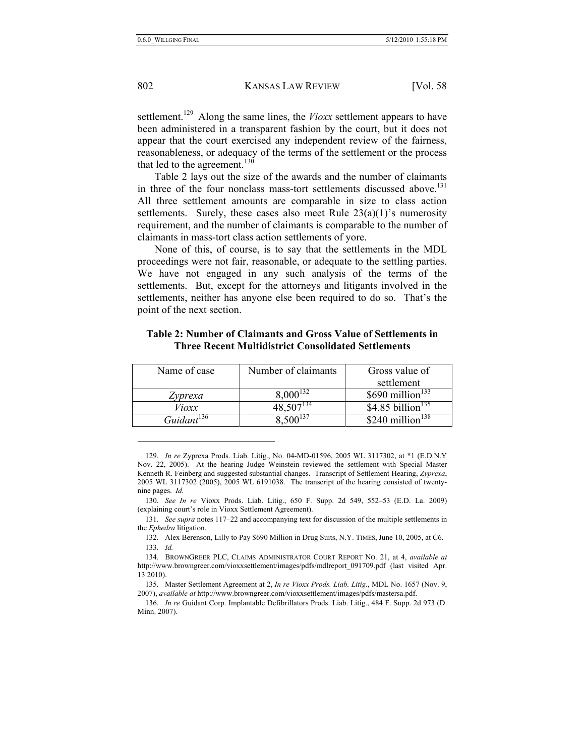settlement.<sup>129</sup> Along the same lines, the *Vioxx* settlement appears to have been administered in a transparent fashion by the court, but it does not appear that the court exercised any independent review of the fairness, reasonableness, or adequacy of the terms of the settlement or the process that led to the agreement.<sup>130</sup>

Table 2 lays out the size of the awards and the number of claimants in three of the four nonclass mass-tort settlements discussed above.<sup>131</sup> All three settlement amounts are comparable in size to class action settlements. Surely, these cases also meet Rule  $23(a)(1)$ 's numerosity requirement, and the number of claimants is comparable to the number of claimants in mass-tort class action settlements of yore.

None of this, of course, is to say that the settlements in the MDL proceedings were not fair, reasonable, or adequate to the settling parties. We have not engaged in any such analysis of the terms of the settlements. But, except for the attorneys and litigants involved in the settlements, neither has anyone else been required to do so. That's the point of the next section.

| Name of case           | Number of claimants       | Gross value of                |  |
|------------------------|---------------------------|-------------------------------|--|
|                        |                           | settlement                    |  |
| Lvprexa                | $\sim 000^{132}$          | \$690 million <sup>133</sup>  |  |
| Vioxx                  | $\sim$ 507 <sup>134</sup> | \$4.85 billion <sup>135</sup> |  |
| Guidant <sup>136</sup> |                           | \$240 million <sup>138</sup>  |  |

# **Table 2: Number of Claimants and Gross Value of Settlements in Three Recent Multidistrict Consolidated Settlements**

<sup>129.</sup> *In re* Zyprexa Prods. Liab. Litig., No. 04-MD-01596, 2005 WL 3117302, at \*1 (E.D.N.Y Nov. 22, 2005). At the hearing Judge Weinstein reviewed the settlement with Special Master Kenneth R. Feinberg and suggested substantial changes. Transcript of Settlement Hearing, *Zyprexa*, 2005 WL 3117302 (2005), 2005 WL 6191038. The transcript of the hearing consisted of twentynine pages. *Id.*

<sup>130.</sup> *See In re* Vioxx Prods. Liab. Litig., 650 F. Supp. 2d 549, 552–53 (E.D. La. 2009) (explaining court's role in Vioxx Settlement Agreement).

<sup>131.</sup> *See supra* notes 117–22 and accompanying text for discussion of the multiple settlements in the *Ephedra* litigation.

 <sup>132.</sup> Alex Berenson, Lilly to Pay \$690 Million in Drug Suits, N.Y. TIMES, June 10, 2005, at C6. 133. *Id.*

 <sup>134.</sup> BROWNGREER PLC, CLAIMS ADMINISTRATOR COURT REPORT NO. 21, at 4, *available at* http://www.browngreer.com/vioxxsettlement/images/pdfs/mdlreport\_091709.pdf (last visited Apr. 13 2010).

 <sup>135.</sup> Master Settlement Agreement at 2, *In re Vioxx Prods. Liab. Litig.*, MDL No. 1657 (Nov. 9, 2007), *available at* http://www.browngreer.com/vioxxsettlement/images/pdfs/mastersa.pdf.

<sup>136.</sup> *In re* Guidant Corp. Implantable Defibrillators Prods. Liab. Litig., 484 F. Supp. 2d 973 (D. Minn. 2007).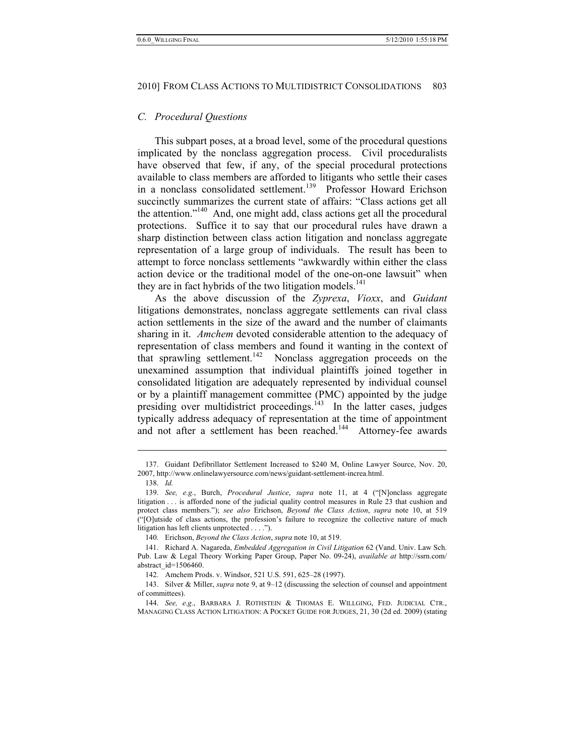#### *C. Procedural Questions*

This subpart poses, at a broad level, some of the procedural questions implicated by the nonclass aggregation process. Civil proceduralists have observed that few, if any, of the special procedural protections available to class members are afforded to litigants who settle their cases in a nonclass consolidated settlement.<sup>139</sup> Professor Howard Erichson succinctly summarizes the current state of affairs: "Class actions get all the attention."140 And, one might add, class actions get all the procedural protections. Suffice it to say that our procedural rules have drawn a sharp distinction between class action litigation and nonclass aggregate representation of a large group of individuals. The result has been to attempt to force nonclass settlements "awkwardly within either the class action device or the traditional model of the one-on-one lawsuit" when they are in fact hybrids of the two litigation models.<sup>141</sup>

As the above discussion of the *Zyprexa*, *Vioxx*, and *Guidant* litigations demonstrates, nonclass aggregate settlements can rival class action settlements in the size of the award and the number of claimants sharing in it. *Amchem* devoted considerable attention to the adequacy of representation of class members and found it wanting in the context of that sprawling settlement.<sup>142</sup> Nonclass aggregation proceeds on the unexamined assumption that individual plaintiffs joined together in consolidated litigation are adequately represented by individual counsel or by a plaintiff management committee (PMC) appointed by the judge presiding over multidistrict proceedings.<sup>143</sup> In the latter cases, judges typically address adequacy of representation at the time of appointment and not after a settlement has been reached.<sup>144</sup> Attorney-fee awards

-

 <sup>137.</sup> Guidant Defibrillator Settlement Increased to \$240 M, Online Lawyer Source, Nov. 20, 2007, http://www.onlinelawyersource.com/news/guidant-settlement-increa.html.

<sup>138.</sup> *Id.*

<sup>139.</sup> *See, e.g.*, Burch, *Procedural Justice*, *supra* note 11, at 4 ("[N]onclass aggregate litigation . . . is afforded none of the judicial quality control measures in Rule 23 that cushion and protect class members."); *see also* Erichson, *Beyond the Class Action*, *supra* note 10, at 519 ("[O]utside of class actions, the profession's failure to recognize the collective nature of much litigation has left clients unprotected . . . .").

 <sup>140.</sup> Erichson, *Beyond the Class Action*, *supra* note 10, at 519.

 <sup>141.</sup> Richard A. Nagareda, *Embedded Aggregation in Civil Litigation* 62 (Vand. Univ. Law Sch. Pub. Law & Legal Theory Working Paper Group, Paper No. 09-24), *available at* http://ssrn.com/ abstract\_id=1506460.

 <sup>142.</sup> Amchem Prods. v. Windsor, 521 U.S. 591, 625–28 (1997).

 <sup>143.</sup> Silver & Miller, *supra* note 9, at 9–12 (discussing the selection of counsel and appointment of committees).

<sup>144.</sup> *See, e.g.*, BARBARA J. ROTHSTEIN & THOMAS E. WILLGING, FED. JUDICIAL CTR., MANAGING CLASS ACTION LITIGATION: A POCKET GUIDE FOR JUDGES, 21, 30 (2d ed. 2009) (stating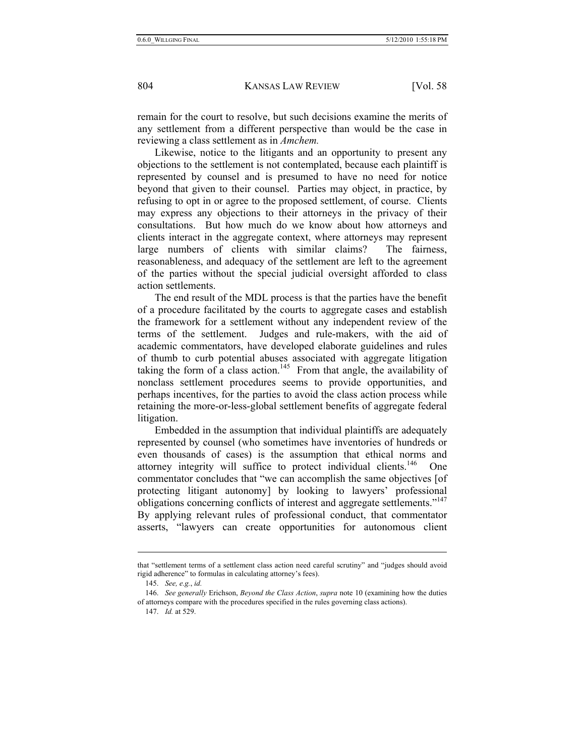remain for the court to resolve, but such decisions examine the merits of any settlement from a different perspective than would be the case in reviewing a class settlement as in *Amchem.*

Likewise, notice to the litigants and an opportunity to present any objections to the settlement is not contemplated, because each plaintiff is represented by counsel and is presumed to have no need for notice beyond that given to their counsel. Parties may object, in practice, by refusing to opt in or agree to the proposed settlement, of course. Clients may express any objections to their attorneys in the privacy of their consultations. But how much do we know about how attorneys and clients interact in the aggregate context, where attorneys may represent large numbers of clients with similar claims? The fairness, reasonableness, and adequacy of the settlement are left to the agreement of the parties without the special judicial oversight afforded to class action settlements.

The end result of the MDL process is that the parties have the benefit of a procedure facilitated by the courts to aggregate cases and establish the framework for a settlement without any independent review of the terms of the settlement. Judges and rule-makers, with the aid of academic commentators, have developed elaborate guidelines and rules of thumb to curb potential abuses associated with aggregate litigation taking the form of a class action.<sup>145</sup> From that angle, the availability of nonclass settlement procedures seems to provide opportunities, and perhaps incentives, for the parties to avoid the class action process while retaining the more-or-less-global settlement benefits of aggregate federal litigation.

Embedded in the assumption that individual plaintiffs are adequately represented by counsel (who sometimes have inventories of hundreds or even thousands of cases) is the assumption that ethical norms and attorney integrity will suffice to protect individual clients.<sup>146</sup> One commentator concludes that "we can accomplish the same objectives [of protecting litigant autonomy] by looking to lawyers' professional obligations concerning conflicts of interest and aggregate settlements."<sup>147</sup> By applying relevant rules of professional conduct, that commentator asserts, "lawyers can create opportunities for autonomous client

that "settlement terms of a settlement class action need careful scrutiny" and "judges should avoid rigid adherence" to formulas in calculating attorney's fees).

<sup>145.</sup> *See, e.g.*, *id.*

<sup>146.</sup> *See generally* Erichson, *Beyond the Class Action*, *supra* note 10 (examining how the duties of attorneys compare with the procedures specified in the rules governing class actions).

<sup>147.</sup> *Id.* at 529.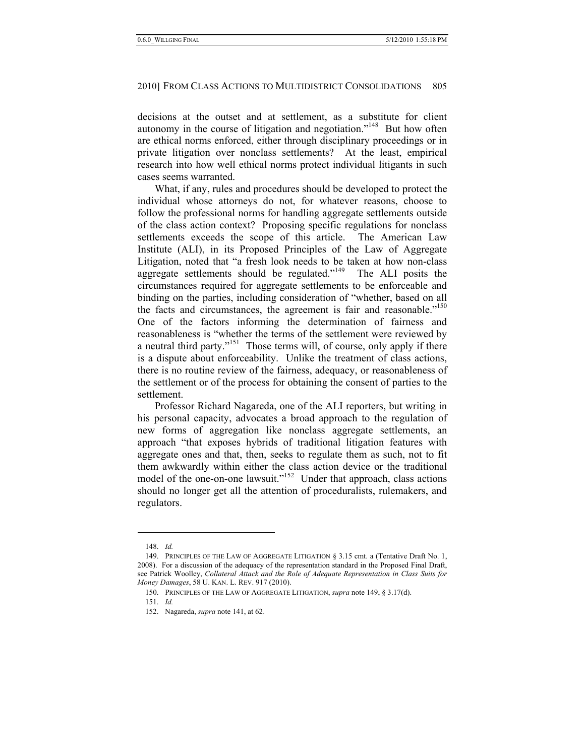decisions at the outset and at settlement, as a substitute for client autonomy in the course of litigation and negotiation."148 But how often are ethical norms enforced, either through disciplinary proceedings or in private litigation over nonclass settlements? At the least, empirical research into how well ethical norms protect individual litigants in such cases seems warranted.

What, if any, rules and procedures should be developed to protect the individual whose attorneys do not, for whatever reasons, choose to follow the professional norms for handling aggregate settlements outside of the class action context? Proposing specific regulations for nonclass settlements exceeds the scope of this article. The American Law Institute (ALI), in its Proposed Principles of the Law of Aggregate Litigation, noted that "a fresh look needs to be taken at how non-class aggregate settlements should be regulated."149 The ALI posits the circumstances required for aggregate settlements to be enforceable and binding on the parties, including consideration of "whether, based on all the facts and circumstances, the agreement is fair and reasonable."<sup>150</sup> One of the factors informing the determination of fairness and reasonableness is "whether the terms of the settlement were reviewed by a neutral third party."151 Those terms will, of course, only apply if there is a dispute about enforceability. Unlike the treatment of class actions, there is no routine review of the fairness, adequacy, or reasonableness of the settlement or of the process for obtaining the consent of parties to the settlement.

Professor Richard Nagareda, one of the ALI reporters, but writing in his personal capacity, advocates a broad approach to the regulation of new forms of aggregation like nonclass aggregate settlements, an approach "that exposes hybrids of traditional litigation features with aggregate ones and that, then, seeks to regulate them as such, not to fit them awkwardly within either the class action device or the traditional model of the one-on-one lawsuit."<sup>152</sup> Under that approach, class actions should no longer get all the attention of proceduralists, rulemakers, and regulators.

<sup>148.</sup> *Id.*

<sup>149.</sup> PRINCIPLES OF THE LAW OF AGGREGATE LITIGATION § 3.15 cmt. a (Tentative Draft No. 1, 2008). For a discussion of the adequacy of the representation standard in the Proposed Final Draft, see Patrick Woolley, *Collateral Attack and the Role of Adequate Representation in Class Suits for Money Damages*, 58 U. KAN. L. REV. 917 (2010).

 <sup>150.</sup> PRINCIPLES OF THE LAW OF AGGREGATE LITIGATION, *supra* note 149, § 3.17(d).

<sup>151.</sup> *Id.*

 <sup>152.</sup> Nagareda, *supra* note 141, at 62.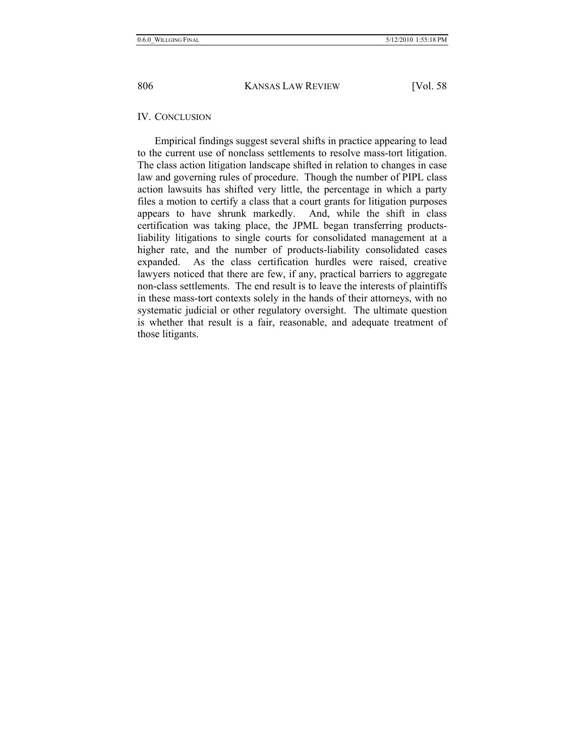# IV. CONCLUSION

Empirical findings suggest several shifts in practice appearing to lead to the current use of nonclass settlements to resolve mass-tort litigation. The class action litigation landscape shifted in relation to changes in case law and governing rules of procedure. Though the number of PIPL class action lawsuits has shifted very little, the percentage in which a party files a motion to certify a class that a court grants for litigation purposes appears to have shrunk markedly. And, while the shift in class certification was taking place, the JPML began transferring productsliability litigations to single courts for consolidated management at a higher rate, and the number of products-liability consolidated cases expanded. As the class certification hurdles were raised, creative lawyers noticed that there are few, if any, practical barriers to aggregate non-class settlements. The end result is to leave the interests of plaintiffs in these mass-tort contexts solely in the hands of their attorneys, with no systematic judicial or other regulatory oversight. The ultimate question is whether that result is a fair, reasonable, and adequate treatment of those litigants.